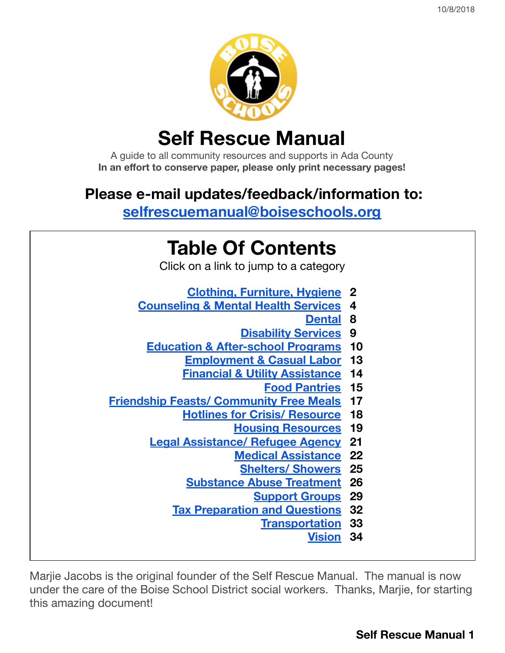

# **Self Rescue Manual**

A guide to all community resources and supports in Ada County **In an effort to conserve paper, please only print necessary pages!**

# **Please e-mail updates/feedback/information to:**

**[selfrescuemanual@boiseschools.org](https://mail.google.com/mail/?view=cm&fs=1&tf=1&to=selfrescuemanual@boiseschools.org)**

| <b>Table Of Contents</b>                       |      |
|------------------------------------------------|------|
| Click on a link to jump to a category          |      |
| <b>Clothing, Furniture, Hygiene 2</b>          |      |
| <b>Counseling &amp; Mental Health Services</b> | 4    |
| <b>Dental</b>                                  | 8    |
| <b>Disability Services</b>                     | 9    |
| <b>Education &amp; After-school Programs</b>   | 10   |
| <b>Employment &amp; Casual Labor</b>           | -13  |
| <b>Financial &amp; Utility Assistance</b>      | -14  |
| <b>Food Pantries</b>                           | - 15 |
| <b>Friendship Feasts/ Community Free Meals</b> | -17  |
| <b>Hotlines for Crisis/ Resource</b>           | 18   |
| <b>Housing Resources</b>                       | -19  |
| <b>Legal Assistance/ Refugee Agency</b>        | 21   |
| <b>Medical Assistance</b>                      | - 22 |
| <b>Shelters/ Showers</b>                       | -25  |
| <b>Substance Abuse Treatment</b>               | -26  |
| <b>Support Groups</b>                          | 29   |
| <b>Tax Preparation and Questions</b>           | -32  |
| <b>Transportation</b>                          | - 33 |
| <b>Vision</b>                                  | -34  |

Marjie Jacobs is the original founder of the Self Rescue Manual. The manual is now under the care of the Boise School District social workers. Thanks, Marjie, for starting this amazing document!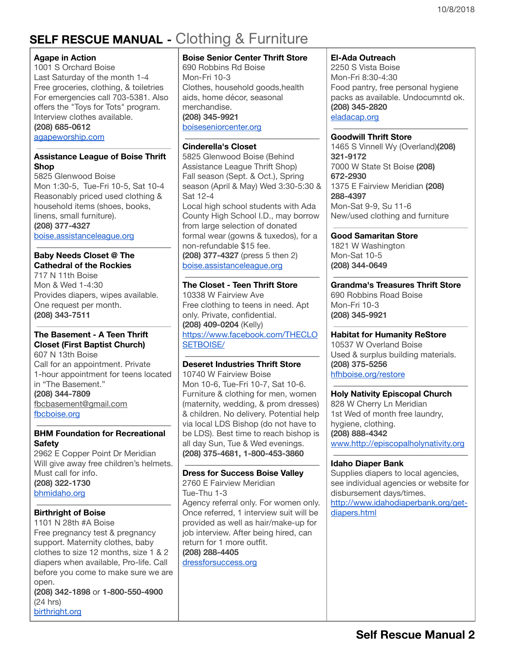# <span id="page-1-0"></span>**SELF RESCUE MANUAL -** Clothing & Furniture

### **Agape in Action**

1001 S Orchard Boise Last Saturday of the month 1-4 Free groceries, clothing, & toiletries For emergencies call 703-5381. Also offers the "Toys for Tots" program. Interview clothes available. **(208) 685-0612**

[agapeworship.com](http://www.agapeworship.com/)

### **Assistance League of Boise Thrift Shop**

5825 Glenwood Boise Mon 1:30-5, Tue-Fri 10-5, Sat 10-4 Reasonably priced used clothing & household items (shoes, books, linens, small furniture). **(208) 377-4327**

[boise.assistanceleague.org](http://boise.assistanceleague.org/)

### **Baby Needs Closet @ The Cathedral of the Rockies**

717 N 11th Boise Mon & Wed 1-4:30 Provides diapers, wipes available. One request per month. **(208) 343-7511**

### **The Basement - A Teen Thrift Closet (First Baptist Church)**

607 N 13th Boise Call for an appointment. Private 1-hour appointment for teens located in "The Basement." **(208) 344-7809** [fbcbasement@gmail.com](mailto:fbcbasement@gmail.com) [fbcboise.org](http://fbcboise.org/)

### **BHM Foundation for Recreational Safety**

2962 E Copper Point Dr Meridian Will give away free children's helmets. Must call for info. **(208) 322-1730** [bhmidaho.org](http://www.bhmidaho.org/)

### **Birthright of Boise**

1101 N 28th #A Boise Free pregnancy test & pregnancy support. Maternity clothes, baby clothes to size 12 months, size 1 & 2 diapers when available, Pro-life. Call before you come to make sure we are open.

**(208) 342-1898** or **1-800-550-4900** (24 hrs) [birthright.org](http://www.birthright.org/)

### **Boise Senior Center Thrift Store**

690 Robbins Rd Boise Mon-Fri 10-3 Clothes, household goods,health aids, home décor, seasonal merchandise. **(208) 345-9921** [boiseseniorcenter.org](http://www.boiseseniorcenter.org/Page6.html)

### **Cinderella's Closet**

5825 Glenwood Boise (Behind Assistance League Thrift Shop) Fall season (Sept. & Oct.), Spring season (April & May) Wed 3:30-5:30 & Sat 12-4 Local high school students with Ada County High School I.D., may borrow from large selection of donated formal wear (gowns & tuxedos), for a non-refundable \$15 fee. **(208) 377-4327** (press 5 then 2) [boise.assistanceleague.org](http://www.boise.assistanceleague.org/ps.projects.cfm?ID=1420)

### **The Closet - Teen Thrift Store**

10338 W Fairview Ave Free clothing to teens in need. Apt only. Private, confidential. **(208) 409-0204** (Kelly) [https://www.facebook.com/THECLO](https://www.facebook.com/THECLOSETBOISE/) [SETBOISE/](https://www.facebook.com/THECLOSETBOISE/)

### **Deseret Industries Thrift Store**

10740 W Fairview Boise Mon 10-6, Tue-Fri 10-7, Sat 10-6. Furniture & clothing for men, women (maternity, wedding, & prom dresses) & children. No delivery. Potential help via local LDS Bishop (do not have to be LDS). Best time to reach bishop is all day Sun, Tue & Wed evenings. **(208) 375-4681, 1-800-453-3860**

### **Dress for Success Boise Valley**

2760 E Fairview Meridian Tue-Thu 1-3 Agency referral only. For women only. Once referred, 1 interview suit will be provided as well as hair/make-up for job interview. After being hired, can return for 1 more outfit. **(208) 288-4405**

[dressforsuccess.org](http://www.dressforsuccess.org/affiliate.aspx?sisid=13&pageid=1)

### **El-Ada Outreach**

2250 S Vista Boise Mon-Fri 8:30-4:30 Food pantry, free personal hygiene packs as available. Undocumntd ok. **(208) 345-2820** [eladacap.org](http://www.eladacap.org/)

### **Goodwill Thrift Store**

1465 S Vinnell Wy (Overland)**(208) 321-9172** 7000 W State St Boise **(208) 672-2930** 1375 E Fairview Meridian **(208) 288-4397** Mon-Sat 9-9, Su 11-6 New/used clothing and furniture

**Good Samaritan Store** 1821 W Washington Mon-Sat 10-5 **(208) 344-0649**

**Grandma's Treasures Thrift Store** 690 Robbins Road Boise Mon-Fri 10-3 **(208) 345-9921**

### **Habitat for Humanity ReStore**

10537 W Overland Boise Used & surplus building materials. **(208) 375-5256** [hfhboise.org/restore](http://www.hfhboise.org/restore)

### **Holy Nativity Episcopal Church**

828 W Cherry Ln Meridian 1st Wed of month free laundry, hygiene, clothing. **(208) 888-4342** www.http://episcopalholynativity.org

### **Idaho Diaper Bank**

Supplies diapers to local agencies, see individual agencies or website for disbursement days/times. [http://www.idahodiaperbank.org/get](http://www.idahodiaperbank.org/get-diapers.html)[diapers.html](http://www.idahodiaperbank.org/get-diapers.html)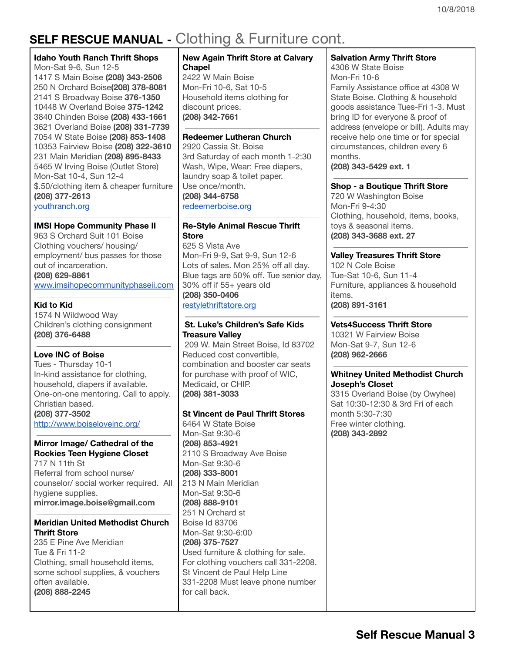# **SELF RESCUE MANUAL -** Clothing & Furniture cont.

### **Idaho Youth Ranch Thrift Shops**

Mon-Sat 9-6, Sun 12-5 S Main Boise **(208) 343-2506** N Orchard Boise**(208) 378-8081** S Broadway Boise **376-1350** W Overland Boise **375-1242** Chinden Boise **(208) 433-1661** Overland Boise **(208) 331-7739** W State Boise **(208) 853-1408** Fairview Boise **(208) 322-3610** Main Meridian **(208) 895-8433** W Irving Boise (Outlet Store) Mon-Sat 10-4, Sun 12-4 \$.50/clothing item & cheaper furniture **(208) 377-2613** [youthranch.org](http://youthranch.org/Locations.aspx)

### **IMSI Hope Community Phase II**

963 S Orchard Suit 101 Boise Clothing vouchers/ housing/ employment/ bus passes for those out of incarceration. **(208) 629-8861**

[www.imsihopecommunityphaseii.com](http://www.imsihopecommunityphaseii.com/)

### **Kid to Kid**

1574 N Wildwood Way Children's clothing consignment **(208) 376-6488**

### **Love INC of Boise**

Tues - Thursday 10-1 In-kind assistance for clothing, household, diapers if available. One-on-one mentoring. Call to apply. Christian based. **(208) 377-3502** http://www.boiseloveinc.org/

### **Mirror Image/ Cathedral of the Rockies Teen Hygiene Closet**

717 N 11th St Referral from school nurse/ counselor/ social worker required. All hygiene supplies. **mirror.image.boise@gmail.com**

### **Meridian United Methodist Church Thrift Store**

235 E Pine Ave Meridian Tue & Fri 11-2 Clothing, small household items, some school supplies, & vouchers often available. **(208) 888-2245**

### **New Again Thrift Store at Calvary Chapel**

2422 W Main Boise Mon-Fri 10-6, Sat 10-5 Household items clothing for discount prices. **(208) 342-7661**

### **Redeemer Lutheran Church**

2920 Cassia St. Boise 3rd Saturday of each month 1-2:30 Wash, Wipe, Wear: Free diapers, laundry soap & toilet paper. Use once/month. **(208) 344-6758** redeemerboise.org

### **Re-Style Animal Rescue Thrift Store**

625 S Vista Ave Mon-Fri 9-9, Sat 9-9, Sun 12-6 Lots of sales. Mon 25% off all day. Blue tags are 50% off. Tue senior day, 30% off if 55+ years old **(208) 350-0406** [restylethriftstore.org](http://www.restylethriftstore.org/)

### **St. Luke's Children's Safe Kids Treasure Valley**

209 W. Main Street Boise, Id 83702 Reduced cost convertible, combination and booster car seats for purchase with proof of WIC, Medicaid, or CHIP. **(208) 381-3033**

### **St Vincent de Paul Thrift Stores**

6464 W State Boise Mon-Sat 9:30-6 **(208) 853-4921** 2110 S Broadway Ave Boise Mon-Sat 9:30-6 **(208) 333-8001** 213 N Main Meridian Mon-Sat 9:30-6 **(208) 888-9101** 251 N Orchard st Boise Id 83706 Mon-Sat 9:30-6:00 **(208) 375-7527** Used furniture & clothing for sale. For clothing vouchers call 331-2208. St Vincent de Paul Help Line 331-2208 Must leave phone number for call back.

### **Salvation Army Thrift Store**

4306 W State Boise Mon-Fri 10-6 Family Assistance office at 4308 W State Boise. Clothing & household goods assistance Tues-Fri 1-3. Must bring ID for everyone & proof of address (envelope or bill). Adults may receive help one time or for special circumstances, children every 6 months.

**(208) 343-5429 ext. 1**

### **Shop - a Boutique Thrift Store**

720 W Washington Boise Mon-Fri 9-4:30 Clothing, household, items, books, toys & seasonal items. **(208) 343-3688 ext. 27**

### **Valley Treasures Thrift Store**

102 N Cole Boise Tue-Sat 10-6, Sun 11-4 Furniture, appliances & household items. **(208) 891-3161**

### **Vets4Success Thrift Store**

10321 W Fairview Boise Mon-Sat 9-7, Sun 12-6 **(208) 962-2666**

### **Whitney United Methodist Church Joseph's Closet**

3315 Overland Boise (by Owyhee) Sat 10:30-12:30 & 3rd Fri of each month 5:30-7:30 Free winter clothing. **(208) 343-2892**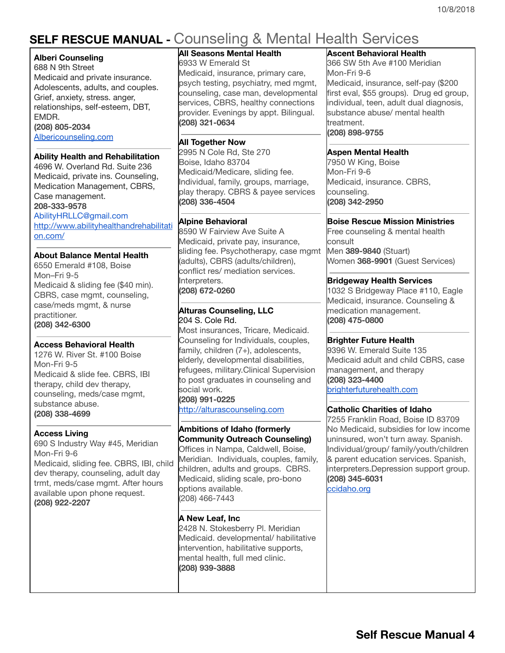# <span id="page-3-0"></span>**SELF RESCUE MANUAL -** Counseling & Mental Health Services

### **Alberi Counseling**

688 N 9th Street Medicaid and private insurance. Adolescents, adults, and couples. Grief, anxiety, stress. anger, relationships, self-esteem, DBT, EMDR. **(208) 805-2034** [Albericounseling.com](http://albericounseling.com/)

### **Ability Health and Rehabilitation**

4696 W. Overland Rd. Suite 236 Medicaid, private ins. Counseling, Medication Management, CBRS, Case management. **208-333-9578** AbilityHRLLC@gmail.com [http://www.abilityhealthandrehabilitati](http://www.abilityhealthandrehabilitation.com/) [on.com/](http://www.abilityhealthandrehabilitation.com/)

### **About Balance Mental Health**

6550 Emerald #108, Boise Mon–Fri 9-5 Medicaid & sliding fee (\$40 min). CBRS, case mgmt, counseling, case/meds mgmt, & nurse practitioner. **(208) 342-6300**

### **Access Behavioral Health**

1276 W. River St. #100 Boise Mon-Fri 9-5 Medicaid & slide fee. CBRS, IBI therapy, child dev therapy, counseling, meds/case mgmt, substance abuse. **(208) 338-4699**

### **Access Living**

690 S Industry Way #45, Meridian Mon-Fri 9-6 Medicaid, sliding fee. CBRS, IBI, child dev therapy, counseling, adult day trmt, meds/case mgmt. After hours available upon phone request. **(208) 922-2207**

### **All Seasons Mental Health**

6933 W Emerald St Medicaid, insurance, primary care, psych testing, psychiatry, med mgmt, counseling, case man, developmental services, CBRS, healthy connections provider. Evenings by appt. Bilingual. **(208) 321-0634**

### **All Together Now**

2995 N Cole Rd, Ste 270 Boise, Idaho 83704 Medicaid/Medicare, sliding fee. Individual, family, groups, marriage, play therapy. CBRS & payee services **(208) 336-4504**

### **Alpine Behavioral**

8590 W Fairview Ave Suite A Medicaid, private pay, insurance, sliding fee. Psychotherapy, case mgmt (adults), CBRS (adults/children), conflict res/ mediation services. Interpreters. **(208) 672-0260**

#### **Alturas Counseling, LLC** 204 S. Cole Rd.

Most insurances, Tricare, Medicaid. Counseling for Individuals, couples, family, children (7+), adolescents, elderly, developmental disabilities, refugees, military.Clinical Supervision to post graduates in counseling and social work.

**(208) 991-0225** [http://alturascounseling.com](http://alturascounseling.com/)

### **Ambitions of Idaho (formerly Community Outreach Counseling)**

Offices in Nampa, Caldwell, Boise, Meridian. Individuals, couples, family, children, adults and groups. CBRS. Medicaid, sliding scale, pro-bono options available. (208) 466-7443

### **A New Leaf, Inc**

2428 N. Stokesberry Pl. Meridian Medicaid. developmental/ habilitative intervention, habilitative supports, mental health, full med clinic. **(208) 939-3888**

### **Ascent Behavioral Health**

366 SW 5th Ave #100 Meridian Mon-Fri 9-6 Medicaid, insurance, self-pay (\$200 first eval, \$55 groups). Drug ed group, individual, teen, adult dual diagnosis, substance abuse/ mental health treatment. **(208) 898-9755**

### **Aspen Mental Health**

7950 W King, Boise Mon-Fri 9-6 Medicaid, insurance. CBRS, counseling. **(208) 342-2950**

### **Boise Rescue Mission Ministries**

Free counseling & mental health consult Men **389-9840** (Stuart) Women **368-9901** (Guest Services)

### **Bridgeway Health Services**

1032 S Bridgeway Place #110, Eagle Medicaid, insurance. Counseling & medication management. **(208) 475-0800**

### **Brighter Future Health**

9396 W. Emerald Suite 135 Medicaid adult and child CBRS, case management, and therapy **(208) 323-4400** brighterfuturehealth.com

### **Catholic Charities of Idaho**

7255 Franklin Road, Boise ID 83709 No Medicaid, subsidies for low income uninsured, won't turn away. Spanish. Individual/group/ family/youth/children & parent education services. Spanish, interpreters.Depression support group. **(208) 345-6031**

ccidaho.org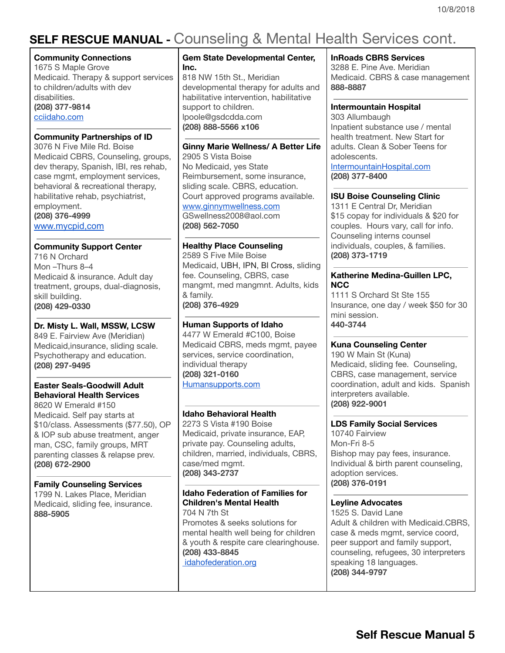# **SELF RESCUE MANUAL -** Counseling & Mental Health Services cont.

### **Community Connections**

1675 S Maple Grove Medicaid. Therapy & support services to children/adults with dev disabilities. **(208) 377-9814** [cciidaho.com](http://www.cciidaho.com/)

### **Community Partnerships of ID**

3076 N Five Mile Rd. Boise Medicaid CBRS, Counseling, groups, dev therapy, Spanish, IBI, res rehab, case mgmt, employment services, behavioral & recreational therapy, habilitative rehab, psychiatrist, employment. **(208) 376-4999** [www.mycpid,com](https://www.mycpid.com/)

### **Community Support Center**

716 N Orchard Mon –Thurs 8–4 Medicaid & insurance. Adult day treatment, groups, dual-diagnosis, skill building. **(208) 429-0330**

### **Dr. Misty L. Wall, MSSW, LCSW**

849 E. Fairview Ave (Meridian) Medicaid,insurance, sliding scale. Psychotherapy and education. **(208) 297-9495**

### **Easter Seals-Goodwill Adult Behavioral Health Services**

8620 W Emerald #150 Medicaid. Self pay starts at \$10/class. Assessments (\$77.50), OP & IOP sub abuse treatment, anger man, CSC, family groups, MRT parenting classes & relapse prev. **(208) 672-2900**

### **Family Counseling Services**

1799 N. Lakes Place, Meridian Medicaid, sliding fee, insurance. **888-5905**

### **Gem State Developmental Center, Inc.** 818 NW 15th St., Meridian

developmental therapy for adults and habilitative intervention, habilitative support to children. lpoole@gsdcdda.com **(208) 888-5566 x106**

### **Ginny Marie Wellness/ A Better Life**

2905 S Vista Boise No Medicaid, yes State Reimbursement, some insurance, sliding scale. CBRS, education. Court approved programs available. [www.ginnymwellness.com](http://www.ginnymwellness.com/) GSwellness2008@aol.com **(208) 562-7050**

### **Healthy Place Counseling**

2589 S Five Mile Boise Medicaid, UBH, IPN, Bl Cross, sliding fee. Counseling, CBRS, case mangmt, med mangmnt. Adults, kids & family. **(208) 376-4929**

### **Human Supports of Idaho**

4477 W Emerald #C100, Boise Medicaid CBRS, meds mgmt, payee services, service coordination, individual therapy **(208) 321-0160** [Humansupports.com](http://www.humansupports.com/)

### **Idaho Behavioral Health**

2273 S Vista #190 Boise Medicaid, private insurance, EAP, private pay. Counseling adults, children, married, individuals, CBRS, case/med mgmt. **(208) 343-2737**

### **Idaho Federation of Families for Children's Mental Health** 704 N 7th St

Promotes & seeks solutions for mental health well being for children & youth & respite care clearinghouse. **(208) 433-8845**

[idahofederation.org](http://idahofederation.org/)

#### **InRoads CBRS Services**

3288 E. Pine Ave. Meridian Medicaid. CBRS & case management **888-8887**

### **Intermountain Hospital**

303 Allumbaugh Inpatient substance use / mental health treatment. New Start for adults. Clean & Sober Teens for adolescents. [IntermountainHospital.com](http://www.intermountainhospital.com/) **(208) 377-8400**

### **ISU Boise Counseling Clinic**

1311 E Central Dr, Meridian \$15 copay for individuals & \$20 for couples. Hours vary, call for info. Counseling interns counsel individuals, couples, & families. **(208) 373-1719**

### **Katherine Medina-Guillen LPC, NCC**

1111 S Orchard St Ste 155 Insurance, one day / week \$50 for 30 mini session. **440-3744**

### **Kuna Counseling Center**

190 W Main St (Kuna) Medicaid, sliding fee. Counseling, CBRS, case management, service coordination, adult and kids. Spanish interpreters available. **(208) 922-9001**

### **LDS Family Social Services**

10740 Fairview Mon-Fri 8-5 Bishop may pay fees, insurance. Individual & birth parent counseling, adoption services. **(208) 376-0191**

### **Leyline Advocates**

1525 S. David Lane Adult & children with Medicaid.CBRS, case & meds mgmt, service coord, peer support and family support, counseling, refugees, 30 interpreters speaking 18 languages. **(208) 344-9797**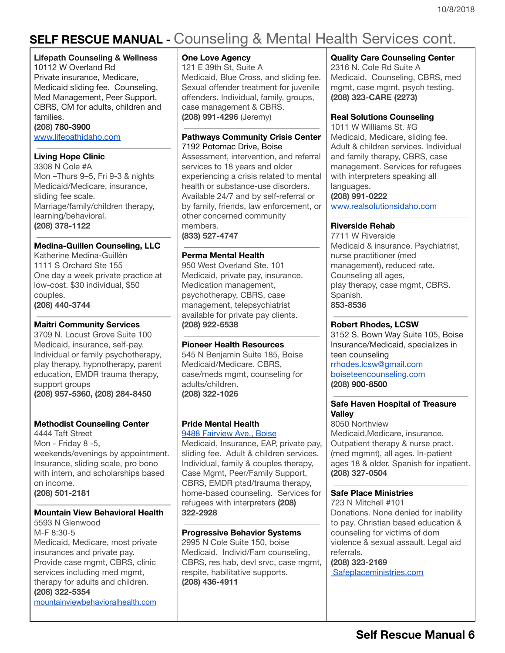# **SELF RESCUE MANUAL -** Counseling & Mental Health Services cont.

### **Lifepath Counseling & Wellness**

10112 W Overland Rd Private insurance, Medicare, Medicaid sliding fee. Counseling, Med Management, Peer Support, CBRS, CM for adults, children and families.

### **(208) 780-3900**

[www.lifepathidaho.com](http://www.lifepathidaho.com/)

### **Living Hope Clinic**

3308 N Cole #A Mon –Thurs 9–5, Fri 9-3 & nights Medicaid/Medicare, insurance, sliding fee scale. Marriage/family/children therapy, learning/behavioral. **(208) 378-1122**

### **Medina-Guillen Counseling, LLC**

Katherine Medina-Guillén 1111 S Orchard Ste 155 One day a week private practice at low-cost. \$30 individual, \$50 couples. **(208) 440-3744**

### **Maitri Community Services**

3709 N. Locust Grove Suite 100 Medicaid, insurance, self-pay. Individual or family psychotherapy, play therapy, hypnotherapy, parent education, EMDR trauma therapy, support groups **(208) 957-5360, (208) 284-8450**

### **Methodist Counseling Center**

4444 Taft Street Mon - Friday 8 -5, weekends/evenings by appointment. Insurance, sliding scale, pro bono with intern, and scholarships based on income. **(208) 501-2181**

### **Mountain View Behavioral Health**

5593 N Glenwood M-F 8:30-5 Medicaid, Medicare, most private insurances and private pay. Provide case mgmt, CBRS, clinic services including med mgmt, therapy for adults and children. **(208) 322-5354** [mountainviewbehavioralhealth.com](http://mountainviewbehavioralhealth.com/)

### **One Love Agency**

121 E 39th St, Suite A Medicaid, Blue Cross, and sliding fee. Sexual offender treatment for juvenile offenders. Individual, family, groups, case management & CBRS. **(208) 991-4296** (Jeremy)

#### **Pathways Community Crisis Center** 7192 [Potomac](https://maps.google.com/?q=7192+Potomac+Drive,+Boise&entry=gmail&source=g) Drive, Boise

Assessment, intervention, and referral services to 18 years and older experiencing a crisis related to mental health or substance-use disorders. Available 24/7 and by self-referral or by family, friends, law enforcement, or other concerned community members. **(833) 527-4747**

### **Perma Mental Health**

950 West Overland Ste. 101 Medicaid, private pay, insurance. Medication management, psychotherapy, CBRS, case management, telepsychiatrist available for private pay clients. **(208) 922-6538**

### **Pioneer Health Resources**

545 N Benjamin Suite 185, Boise Medicaid/Medicare. CBRS, case/meds mgmt, counseling for adults/children. **(208) 322-1026**

### **Pride Mental Health**

9488 [Fairview](https://maps.google.com/?q=9488+Fairview+Ave.,+Boise&entry=gmail&source=g) Ave., Boise Medicaid, Insurance, EAP, private pay, sliding fee. Adult & children services. Individual, family & couples therapy, Case Mgmt, Peer/Family Support, CBRS, EMDR ptsd/trauma therapy, home-based counseling. Services for refugees with interpreters **(208) 322-2928**

### **Progressive Behavior Systems** 2995 N Cole Suite 150, boise Medicaid. Individ/Fam counseling,

CBRS, res hab, devl srvc, case mgmt, respite, habilitative supports. **(208) 436-4911**

### **Quality Care Counseling Center**

2316 N. Cole Rd Suite A Medicaid. Counseling, CBRS, med mgmt, case mgmt, psych testing. **(208) 323-CARE (2273)**

### **Real Solutions Counseling**

1011 W Williams St. #G Medicaid, Medicare, sliding fee. Adult & children services. Individual and family therapy, CBRS, case management. Services for refugees with interpreters speaking all languages. **(208) 991-0222** [www.realsolutionsidaho.com](http://www.realsolutionsidaho.com/)

### **Riverside Rehab**

7711 W Riverside Medicaid & insurance. Psychiatrist, nurse practitioner (med management), reduced rate. Counseling all ages, play therapy, case mgmt, CBRS. Spanish. **853-8536**

### **Robert Rhodes, LCSW**

3152 S. Bown Way Suite 105, Boise Insurance/Medicaid, specializes in teen counseling rrhodes.lcsw@gmail.com [boiseteencounseling.com](http://boiseteencounseling.com/) **(208) 900-8500**

### **Safe Haven Hospital of Treasure Valley**

8050 Northview Medicaid,Medicare, insurance. Outpatient therapy & nurse pract. (med mgmnt), all ages. In-patient ages 18 & older. Spanish for inpatient. **(208) 327-0504**

### **Safe Place Ministries**

723 N Mitchell #101 Donations. None denied for inability to pay. Christian based education & counseling for victims of dom violence & sexual assault. Legal aid referrals. **(208) 323-2169**

[Safeplaceministries.com](http://www.safeplaceministries.com/)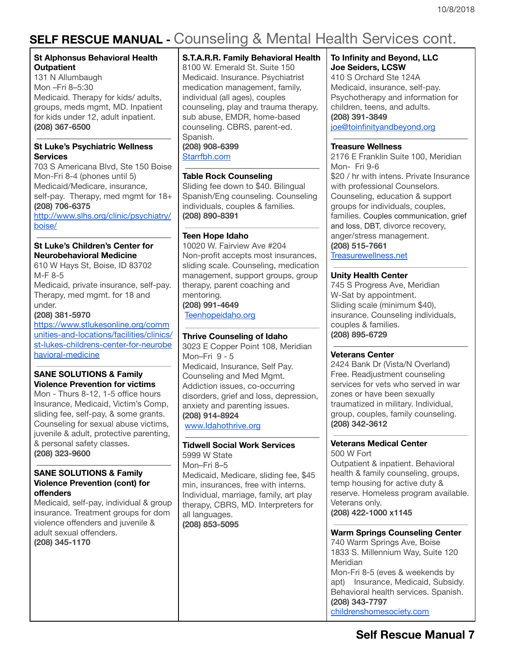# **SELF RESCUE MANUAL -** Counseling & Mental Health Services cont.

### **St Alphonsus Behavioral Health Outpatient**

131 N Allumbaugh Mon –Fri 8–5:30 Medicaid. Therapy for kids/ adults, groups, meds mgmt, MD. Inpatient for kids under 12, adult inpatient. **(208) 367-6500**

### **St Luke's Psychiatric Wellness Services**

703 S Americana Blvd, Ste 150 Boise Mon-Fri 8-4 (phones until 5) Medicaid/Medicare, insurance, self-pay. Therapy, med mamt for 18+ **(208) 706-6375**

[http://www.slhs.org/clinic/psychiatry/](http://www.slhs.org/clinic/psychiatry/boise/) [boise/](http://www.slhs.org/clinic/psychiatry/boise/)

### **St Luke's Children's Center for Neurobehavioral Medicine**

610 W Hays St, Boise, ID 83702 M-F 8-5 Medicaid, private insurance, self-pay. Therapy, med mgmt. for 18 and under.

**(208) 381-5970**

[https://www.stlukesonline.org/comm](https://www.stlukesonline.org/communities-and-locations/facilities/clinics/st-lukes-childrens-center-for-neurobehavioral-medicine) [unities-and-locations/facilities/clinics/](https://www.stlukesonline.org/communities-and-locations/facilities/clinics/st-lukes-childrens-center-for-neurobehavioral-medicine) [st-lukes-childrens-center-for-neurobe](https://www.stlukesonline.org/communities-and-locations/facilities/clinics/st-lukes-childrens-center-for-neurobehavioral-medicine) [havioral-medicine](https://www.stlukesonline.org/communities-and-locations/facilities/clinics/st-lukes-childrens-center-for-neurobehavioral-medicine)

### **SANE SOLUTIONS & Family Violence Prevention for victims**

Mon - Thurs 8-12, 1-5 office hours Insurance, Medicaid, Victim's Comp, sliding fee, self-pay, & some grants. Counseling for sexual abuse victims, juvenile & adult, protective parenting, & personal safety classes. **(208) 323-9600**

### **SANE SOLUTIONS & Family Violence Prevention (cont) for offenders**

Medicaid, self-pay, individual & group insurance. Treatment groups for dom violence offenders and juvenile & adult sexual offenders. **(208) 345-1170**

### **S.T.A.R.R. Family Behavioral Health**

8100 W. Emerald St. Suite 150 Medicaid. Insurance. Psychiatrist medication management, family, individual (all ages), couples counseling, play and trauma therapy, sub abuse, EMDR, home-based counseling. CBRS, parent-ed. Spanish. **(208) 908-6399** [Starrfbh.com](http://www.starrfbh.com/)

### **Table Rock Counseling**

Sliding fee down to \$40. Bilingual Spanish/Eng counseling. Counseling individuals, couples & families. **(208) 890-8391**

### **Teen Hope Idaho**

10020 W. Fairview Ave #204 Non-profit accepts most insurances, sliding scale. Counseling, medication management, support groups, group therapy, parent coaching and mentoring. **(208) 991-4649**

[Teenhopeidaho.org](http://teenhopeidaho.org/)

### **Thrive Counseling of Idaho**

3023 E Copper Point 108, Meridian Mon–Fri 9 - 5 Medicaid, Insurance, Self Pay. Counseling and Med Mgmt. Addiction issues, co-occurring disorders, grief and loss, depression, anxiety and parenting issues. **(208) 914-8924** [www.Idahothrive.org](http://www.idahothrive.org/)

### **Tidwell Social Work Services**

5999 W State Mon–Fri 8–5 Medicaid, Medicare, sliding fee, \$45 min, insurances, free with interns. Individual, marriage, family, art play therapy, CBRS, MD. Interpreters for all languages. **(208) 853-5095**

### **To Infinity and Beyond, LLC Joe Seiders, LCSW**

410 S Orchard Ste 124A Medicaid, insurance, self-pay. Psychotherapy and information for children, teens, and adults. **(208) 391-3849** [joe@toinfinityandbeyond.org](mailto:joe@toinfinityandbeyond.org)

### **Treasure Wellness**

2176 E Franklin Suite 100, Meridian Mon- Fri 9-6 \$20 / hr with intens. Private Insurance with professional Counselors. Counseling, education & support groups for individuals, couples, families. Couples communication, grief and loss, DBT, divorce recovery, anger/stress management. **(208) 515-7661**

[Treasurewellness.net](http://www.treasurewellness.net/)

### **Unity Health Center**

745 S Progress Ave, Meridian W-Sat by appointment. Sliding scale (minimum \$40), insurance. Counseling individuals, couples & families. **(208) 895-6729**

### **Veterans Center**

2424 Bank Dr (Vista/N Overland) Free. Readjustment counseling services for vets who served in war zones or have been sexually traumatized in military. Individual, group, couples, family counseling. **(208) 342-3612**

#### **Veterans Medical Center** 500 W Fort

Outpatient & inpatient. Behavioral health & family counseling, groups, temp housing for active duty & reserve. Homeless program available. Veterans only. **(208) 422-1000 x1145**

#### **Warm Springs Counseling Center** 740 Warm Springs Ave, Boise 1833 S. Millennium Way, Suite 120 **Meridian** Mon-Fri 8-5 (eves & weekends by apt) Insurance, Medicaid, Subsidy. Behavioral health services. Spanish. **(208) 343-7797** [childrenshomesociety.com](http://www.childrenshomesociety.com/)

## **Self Rescue Manual 7**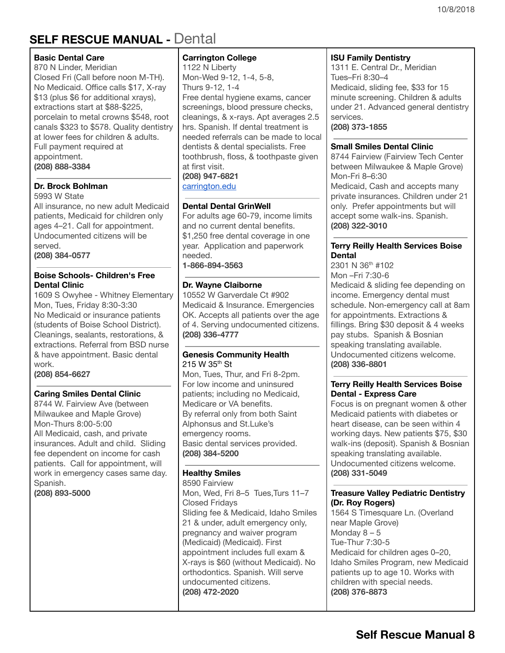## <span id="page-7-0"></span>**SELF RESCUE MANUAL -** Dental

### **Basic Dental Care**

870 N Linder, Meridian Closed Fri (Call before noon M-TH). No Medicaid. Office calls \$17, X-ray \$13 (plus \$6 for additional xrays), extractions start at \$88-\$225, porcelain to metal crowns \$548, root canals \$323 to \$578. Quality dentistry at lower fees for children & adults. Full payment required at appointment. **(208) 888-3384**

### **Dr. Brock Bohlman**

5993 W State

All insurance, no new adult Medicaid patients, Medicaid for children only ages 4–21. Call for appointment. Undocumented citizens will be served.

**(208) 384-0577**

### **Boise Schools- Children's Free Dental Clinic**

1609 S Owyhee - Whitney Elementary Mon, Tues, Friday 8:30-3:30 No Medicaid or insurance patients (students of Boise School District). Cleanings, sealants, restorations, & extractions. Referral from BSD nurse & have appointment. Basic dental work.

**(208) 854-6627**

### **Caring Smiles Dental Clinic**

8744 W. Fairview Ave (between Milwaukee and Maple Grove) Mon-Thurs 8:00-5:00 All Medicaid, cash, and private insurances. Adult and child. Sliding fee dependent on income for cash patients. Call for appointment, will work in emergency cases same day. Spanish.

**(208) 893-5000**

### **Carrington College**

1122 N Liberty Mon-Wed 9-12, 1-4, 5-8, Thurs 9-12, 1-4 Free dental hygiene exams, cancer screenings, blood pressure checks, cleanings, & x-rays. Apt averages 2.5 hrs. Spanish. If dental treatment is needed referrals can be made to local dentists & dental specialists. Free toothbrush, floss, & toothpaste given at first visit. **(208) 947-6821**

[carrington.edu](http://www.carrington.edu/)

### **Dental Dental GrinWell**

For adults age 60-79, income limits and no current dental benefits. \$1,250 free dental coverage in one year. Application and paperwork needed.

**1-866-894-3563**

### **Dr. Wayne Claiborne**

10552 W Garverdale Ct #902 Medicaid & Insurance. Emergencies OK. Accepts all patients over the age of 4. Serving undocumented citizens. **(208) 336-4777**

### **Genesis Community Health** [215](https://maps.google.com/?q=215+W+35&entry=gmail&source=g) W 35<sup>th</sup> St

Mon, Tues, Thur, and Fri 8-2pm. For low income and uninsured patients; including no Medicaid, Medicare or VA benefits. By referral only from both Saint Alphonsus and St.Luke's emergency rooms. Basic dental services provided. **(208) 384-5200**

### **Healthy Smiles**

8590 Fairview Mon, Wed, Fri 8–5 Tues,Turs 11–7 Closed Fridays Sliding fee & Medicaid, Idaho Smiles 21 & under, adult emergency only, pregnancy and waiver program (Medicaid) (Medicaid). First appointment includes full exam & X-rays is \$60 (without Medicaid). No orthodontics. Spanish. Will serve undocumented citizens. **(208) 472-2020**

### **ISU Family Dentistry**

1311 E. Central Dr., Meridian Tues–Fri 8:30–4 Medicaid, sliding fee, \$33 for 15 minute screening. Children & adults under 21. Advanced general dentistry services.

**(208) 373-1855**

### **Small Smiles Dental Clinic**

8744 Fairview (Fairview Tech Center between Milwaukee & Maple Grove) Mon-Fri 8–6:30 Medicaid, Cash and accepts many private insurances. Children under 21 only. Prefer appointments but will accept some walk-ins. Spanish. **(208) 322-3010**

### **Terry Reilly Health Services Boise Dental**

2301 N 36<sup>th</sup> #102 Mon –Fri 7:30-6 Medicaid & sliding fee depending on income. Emergency dental must schedule. Non-emergency call at 8am for appointments. Extractions & fillings. Bring \$30 deposit & 4 weeks pay stubs. Spanish & Bosnian speaking translating available. Undocumented citizens welcome. **(208) 336-8801**

### **Terry Reilly Health Services Boise Dental - Express Care**

Focus is on pregnant women & other Medicaid patients with diabetes or heart disease, can be seen within 4 working days. New patients \$75, \$30 walk-ins (deposit). Spanish & Bosnian speaking translating available. Undocumented citizens welcome. **(208) 331-5049**

### **Treasure Valley Pediatric Dentistry (Dr. Roy Rogers)**

1564 S Timesquare Ln. (Overland near Maple Grove) Monday 8 – 5 Tue-Thur 7:30-5 Medicaid for children ages 0–20, Idaho Smiles Program, new Medicaid patients up to age 10. Works with children with special needs. **(208) 376-8873**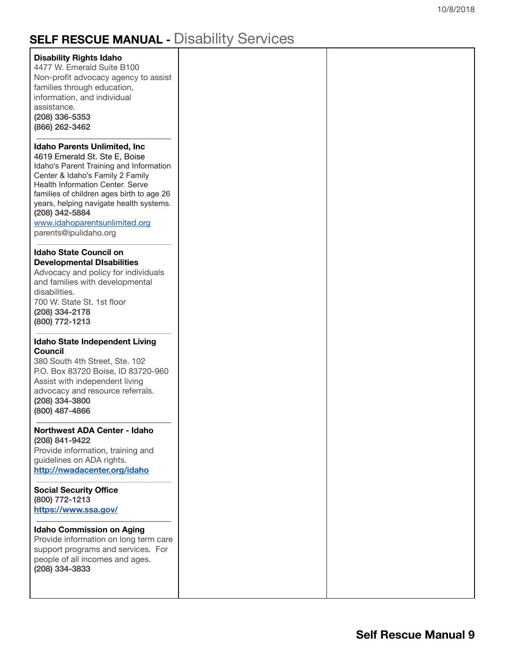# **SELF RESCUE MANUAL -** Disability Services

| <b>Disability Rights Idaho</b><br>4477 W. Emerald Suite B100<br>Non-profit advocacy agency to assist<br>families through education,<br>information, and individual<br>assistance.<br>(208) 336-5353<br>(866) 262-3462                                                                                                                                              |  |
|--------------------------------------------------------------------------------------------------------------------------------------------------------------------------------------------------------------------------------------------------------------------------------------------------------------------------------------------------------------------|--|
| <b>Idaho Parents Unlimited, Inc</b><br>4619 Emerald St. Ste E, Boise<br>Idaho's Parent Training and Information<br>Center & Idaho's Family 2 Family<br><b>Health Information Center. Serve</b><br>families of children ages birth to age 26<br>years, helping navigate health systems.<br>(208) 342-5884<br>www.idahoparentsunlimited.org<br>parents@ipulidaho.org |  |
| <b>Idaho State Council on</b><br><b>Developmental Disabilities</b><br>Advocacy and policy for individuals<br>and families with developmental<br>disabilities.<br>700 W. State St. 1st floor<br>(208) 334-2178<br>(800) 772-1213                                                                                                                                    |  |
| <b>Idaho State Independent Living</b><br>Council<br>380 South 4th Street, Ste. 102<br>P.O. Box 83720 Boise, ID 83720-960<br>Assist with independent living<br>advocacy and resource referrals.<br>(208) 334-3800<br>(800) 487-4866                                                                                                                                 |  |
| <b>Northwest ADA Center - Idaho</b><br>(208) 841-9422<br>Provide information, training and<br>guidelines on ADA rights.<br>http://nwadacenter.org/idaho                                                                                                                                                                                                            |  |
| <b>Social Security Office</b><br>(800) 772-1213<br>https://www.ssa.gov/                                                                                                                                                                                                                                                                                            |  |
| <b>Idaho Commission on Aging</b><br>Provide information on long term care<br>support programs and services. For<br>people of all incomes and ages.<br>(208) 334-3833                                                                                                                                                                                               |  |
|                                                                                                                                                                                                                                                                                                                                                                    |  |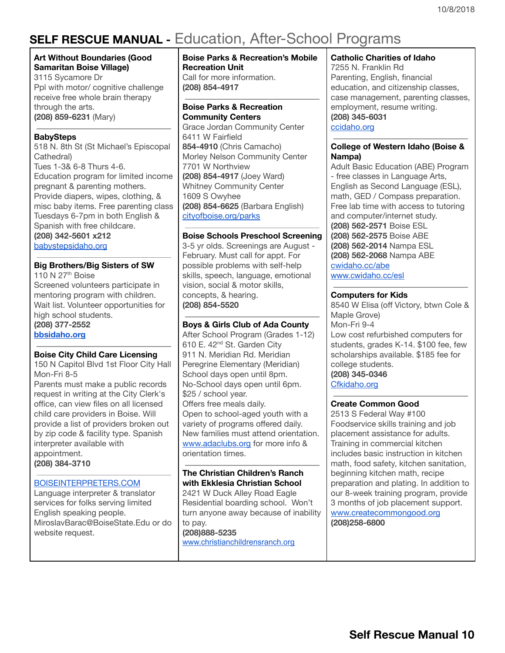# <span id="page-9-0"></span>**SELF RESCUE MANUAL -** Education, After-School Programs

#### **Art Without Boundaries (Good Samaritan Boise Village)**

3115 Sycamore Dr Ppl with motor/ cognitive challenge receive free whole brain therapy through the arts. **(208) 859-6231** (Mary)

### **BabySteps**

518 N. 8th St (St Michael's Episcopal Cathedral) Tues 1-3& 6-8 Thurs 4-6. Education program for limited income pregnant & parenting mothers. Provide diapers, wipes, clothing, & misc baby items. Free parenting class Tuesdays 6-7pm in both English & Spanish with free childcare. **(208) 342-5601 x212**

[babystepsidaho.org](http://www.babystepsidaho.org/)

### **Big Brothers/Big Sisters of SW**

110 N 27<sup>th</sup> Boise Screened volunteers participate in mentoring program with children. Wait list. Volunteer opportunities for high school students. **(208) 377-2552 [bbsidaho.org](http://bbsidaho.org/)**

### **Boise City Child Care Licensing**

150 N Capitol Blvd 1st Floor City Hall Mon-Fri 8-5

Parents must make a public records request in writing at the City Clerk's office, can view files on all licensed child care providers in Boise. Will provide a list of providers broken out by zip code & facility type. Spanish interpreter available with appointment. **(208) 384-3710**

### [BOISEINTERPRETERS.COM](http://www.boiseinterpreters.com/)

Language interpreter & translator services for folks serving limited English speaking people. MiroslavBarac@BoiseState.Edu or do website request.

### **Boise Parks & Recreation's Mobile Recreation Unit**

Call for more information. **(208) 854-4917**

#### **Boise Parks & Recreation Community Centers**

Grace Jordan Community Center 6411 W Fairfield **854-4910** (Chris Camacho) Morley Nelson Community Center 7701 W Northview **(208) 854-4917** (Joey Ward) Whitney Community Center 1609 S Owyhee **(208) 854-6625** (Barbara English) [cityofboise.org/parks](http://www.cityofboise.org/parks)

### **Boise Schools Preschool Screening**

3-5 yr olds. Screenings are August - February. Must call for appt. For possible problems with self-help skills, speech, language, emotional vision, social & motor skills, concepts, & hearing. **(208) 854-5520**

### **Boys & Girls Club of Ada County**

After School Program (Grades 1-12) 610 E. 42<sup>nd</sup> St. Garden City 911 N. Meridian Rd. Meridian Peregrine Elementary (Meridian) School days open until 8pm. No-School days open until 6pm. \$25 / school year.

Offers free meals daily. Open to school-aged youth with a variety of programs offered daily. New families must attend orientation. [www.adaclubs.org](http://www.adaclubs.org/) for more info & orientation times.

#### **The Christian Children's Ranch with Ekklesia Christian School**

2421 W Duck Alley Road Eagle Residential boarding school. Won't turn anyone away because of inability to pay. **(208)888-5235** [www.christianchildrensranch.org](http://www.christianchildrensranch.org/)

### **Catholic Charities of Idaho**

7255 N. Franklin Rd Parenting, English, financial education, and citizenship classes, case management, parenting classes, employment, resume writing. **(208) 345-6031** ccidaho.org

### **College of Western Idaho (Boise & Nampa)**

Adult Basic Education (ABE) Program - free classes in Language Arts, English as Second Language (ESL), math, GED / Compass preparation. Free lab time with access to tutoring and computer/internet study. **(208) 562-2571** Boise ESL **(208) 562-2575** Boise ABE **(208) 562-2014** Nampa ESL **(208) 562-2068** Nampa ABE [cwidaho.cc/abe](http://cwidaho.cc/general-educational-development/) [www.cwidaho.cc/esl](http://www.cwidaho.cc/esl)

### **Computers for Kids**

8540 W Elisa (off Victory, btwn Cole & Maple Grove) Mon-Fri 9-4 Low cost refurbished computers for students, grades K-14. \$100 fee, few scholarships available. \$185 fee for college students. **(208) 345-0346** [Cfkidaho.org](http://www.cfkidaho.org/)

### **Create Common Good**

2513 S Federal Way #100 Foodservice skills training and job placement assistance for adults. Training in commercial kitchen includes basic instruction in kitchen math, food safety, kitchen sanitation, beginning kitchen math, recipe preparation and plating. In addition to our 8-week training program, provide 3 months of job placement support. [www.createcommongood.org](http://www.createcommongood.org/) **(208)258-6800**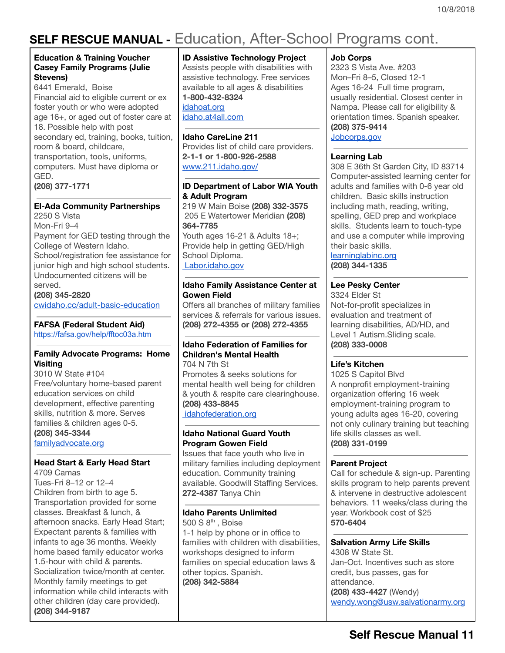# **SELF RESCUE MANUAL -** Education, After-School Programs cont.

### **Education & Training Voucher Casey Family Programs (Julie Stevens)**

6441 Emerald, Boise Financial aid to eligible current or ex foster youth or who were adopted age 16+, or aged out of foster care at 18. Possible help with post secondary ed, training, books, tuition, room & board, childcare, transportation, tools, uniforms, computers. Must have diploma or GED. **(208) 377-1771**

## **El-Ada Community Partnerships**

2250 S Vista Mon-Fri 9–4 Payment for GED testing through the College of Western Idaho. School/registration fee assistance for junior high and high school students. Undocumented citizens will be served.

**(208) 345-2820** [cwidaho.cc/adult-basic-education](http://www.cwidaho.cc/adult-basic-education)

#### **FAFSA (Federal Student Aid)** <https://fafsa.gov/help/fftoc03a.htm>

### **Family Advocate Programs: Home Visitin[g](http://familyadvocate.org/)**

3010 W State #104 Free/voluntary home-based parent education services on child development, effective parenting skills, nutrition & more. Serves families & children ages 0-5. **(208) 345-3344** [familyadvocate.org](http://familyadvocate.org/)

### **Head Start & Early Head Start**

4709 Camas Tues-Fri 8–12 or 12–4 Children from birth to age 5. Transportation provided for some classes. Breakfast & lunch, & afternoon snacks. Early Head Start; Expectant parents & families with infants to age 36 months. Weekly home based family educator works 1.5-hour with child & parents. Socialization twice/month at center. Monthly family meetings to get information while child interacts with other children (day care provided). **(208) 344-9187**

### **ID Assistive Technology Project**

Assists people with disabilities with assistive technology. Free services available to all ages & disabilities **1-800-432-8324**

idahoat.org [idaho.at4all.com](http://www.idaho.at4all.com/)

### **Idaho CareLine 211**

Provides list of child care providers. **2-1-1 or 1-800-926-2588** [www.211.idaho.gov/](http://www.211.idaho.gov/)

### **ID Department of Labor WIA Youth & Adult Program**

219 W Main Boise **(208) 332-3575** 205 E Watertower Meridian **(208) 364-7785** Youth ages 16-21 & Adults 18+;

Provide help in getting GED/High School Diploma. [Labor.idaho.gov](http://www.labor.idaho.gov/)

### **Idaho Family Assistance Center at Gowen Field**

Offers all branches of military families services & referrals for various issues. **(208) 272-4355 or (208) 272-4355**

### **Idaho Federation of Families for Children's Mental Health**

704 N 7th St Promotes & seeks solutions for mental health well being for children & youth & respite care clearinghouse. **(208) 433-8845** [idahofederation.org](http://idahofederation.org/)

### **Idaho National Guard Youth Program Gowen Field**

Issues that face youth who live in military families including deployment education. Community training available. Goodwill Staffing Services. **272-4387** Tanya Chin

### **Idaho Parents Unlimited**

500 S 8<sup>th</sup>, Boise 1-1 help by phone or in office to families with children with disabilities, workshops designed to inform families on special education laws & other topics. Spanish. **(208) 342-5884**

### **Job Corps**

2323 S Vista Ave. #203 Mon–Fri 8–5, Closed 12-1 Ages 16-24 Full time program, usually residential. Closest center in Nampa. Please call for eligibility & orientation times. Spanish speaker. **(208) 375-9414** [Jobcorps.gov](http://www.jobcorps.gov/home.aspx)

### **Learning Lab**

308 E 36th St Garden City, ID 83714 Computer-assisted learning center for adults and families with 0-6 year old children. Basic skills instruction including math, reading, writing, spelling, GED prep and workplace skills. Students learn to touch-type and use a computer while improving their basic skills.

[learninglabinc.org](http://www.learninglabinc.org/) **(208) 344-1335**

### **Lee Pesky Center**

3324 Elder St Not-for-profit specializes in evaluation and treatment of learning disabilities, AD/HD, and Level 1 Autism.Sliding scale. **(208) 333-0008**

### **Life's Kitchen**

1025 S Capitol Blvd A nonprofit employment-training organization offering 16 week employment-training program to young adults ages 16-20, covering not only culinary training but teaching life skills classes as well. **(208) 331-0199**

### **Parent Project**

Call for schedule & sign-up. Parenting skills program to help parents prevent & intervene in destructive adolescent behaviors. 11 weeks/class during the year. Workbook cost of \$25 **570-6404**

#### **Salvation Army Life Skills** 4308 W State St. Jan-Oct. Incentives such as store credit, bus passes, gas for attendance.

**(208) 433-4427** (Wendy) [wendy.wong@usw.salvationarmy.org](mailto:wendy.wong@usw.salvationarmy.org)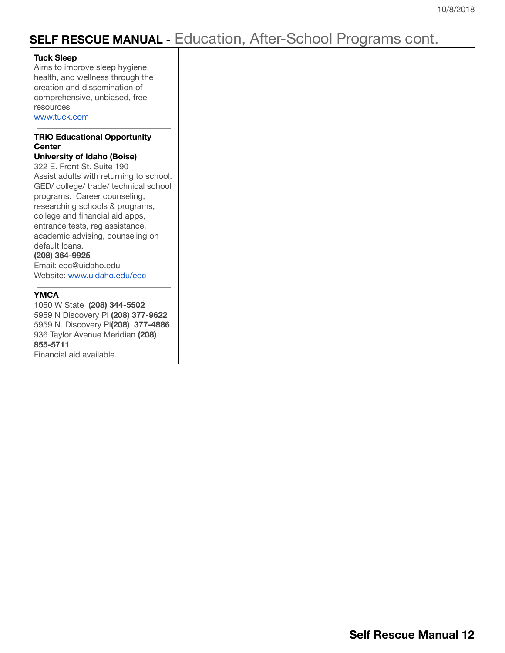# **SELF RESCUE MANUAL -** Education, After-School Programs cont.

| <b>Tuck Sleep</b><br>Aims to improve sleep hygiene,<br>health, and wellness through the<br>creation and dissemination of<br>comprehensive, unbiased, free<br>resources<br>www.tuck.com |
|----------------------------------------------------------------------------------------------------------------------------------------------------------------------------------------|
| <b>TRiO Educational Opportunity</b>                                                                                                                                                    |
| <b>Center</b>                                                                                                                                                                          |
| <b>University of Idaho (Boise)</b>                                                                                                                                                     |
| 322 E. Front St. Suite 190                                                                                                                                                             |
| Assist adults with returning to school.                                                                                                                                                |
| GED/college/trade/technical school                                                                                                                                                     |
| programs. Career counseling,                                                                                                                                                           |
| researching schools & programs,                                                                                                                                                        |
| college and financial aid apps,                                                                                                                                                        |
| entrance tests, reg assistance,                                                                                                                                                        |
| academic advising, counseling on                                                                                                                                                       |
| default loans.                                                                                                                                                                         |
| (208) 364-9925                                                                                                                                                                         |
| Email: eoc@uidaho.edu                                                                                                                                                                  |
| Website: www.uidaho.edu/eoc                                                                                                                                                            |
|                                                                                                                                                                                        |
| <b>YMCA</b>                                                                                                                                                                            |
| 1050 W State (208) 344-5502                                                                                                                                                            |
| 5959 N Discovery PI (208) 377-9622                                                                                                                                                     |
| 5959 N. Discovery PI(208) 377-4886                                                                                                                                                     |
| 936 Taylor Avenue Meridian (208)<br>855-5711                                                                                                                                           |
| Financial aid available.                                                                                                                                                               |
|                                                                                                                                                                                        |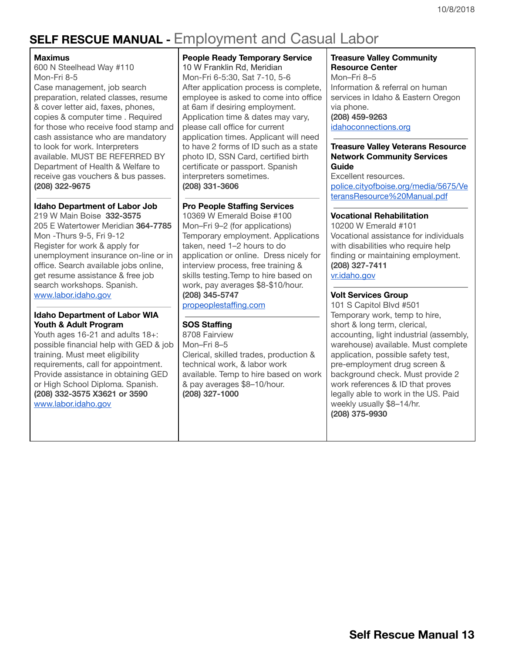# <span id="page-12-0"></span>**SELF RESCUE MANUAL -** Employment and Casual Labor

#### **Maximus**

600 N Steelhead Way #110 Mon-Fri 8-5

Case management, job search preparation, related classes, resume & cover letter aid, faxes, phones, copies & computer time . Required for those who receive food stamp and cash assistance who are mandatory to look for work. Interpreters available. MUST BE REFERRED BY Department of Health & Welfare to receive gas vouchers & bus passes. **(208) 322-9675**

### **Idaho Department of Labor Job**

219 W Main Boise **332-3575** 205 E Watertower Meridian **364-7785** Mon -Thurs 9-5, Fri 9-12 Register for work & apply for unemployment insurance on-line or in office. Search available jobs online, get resume assistance & free job search workshops. Spanish. [www.labor.idaho.gov](http://www.labor.idaho.gov/)

### **Idaho Department of Labor WIA Youth & Adult Program**

Youth ages 16-21 and adults 18+: possible financial help with GED & job training. Must meet eligibility requirements, call for appointment. Provide assistance in obtaining GED or High School Diploma. Spanish. **(208) 332-3575 X3621 or 3590** [www.labor.idaho.gov](http://www.labor.idaho.gov/)

### **People Ready Temporary Service** 10 W Franklin Rd, Meridian Mon-Fri 6-5:30, Sat 7-10, 5-6 After application process is complete, employee is asked to come into office at 6am if desiring employment. Application time & dates may vary, please call office for current application times. Applicant will need to have 2 forms of ID such as a state photo ID, SSN Card, certified birth certificate or passport. Spanish interpreters sometimes. **(208) 331-3606**

### **Pro People Staffing Services**

10369 W Emerald Boise #100 Mon–Fri 9–2 (for applications) Temporary employment. Applications taken, need 1–2 hours to do application or online. Dress nicely for interview process, free training & skills testing.Temp to hire based on work, pay averages \$8-\$10/hour. **(208) 345-5747**

[propeoplestaffing.com](http://propeoplestaffing.com/)

### **SOS Staffing**

8708 Fairview Mon–Fri 8–5 Clerical, skilled trades, production & technical work, & labor work available. Temp to hire based on work & pay averages \$8–10/hour. **(208) 327-1000**

### **Treasure Valley Community Resource Center** Mon–Fri 8–5

Information & referral on human services in Idaho & Eastern Oregon via phone. **(208) 459-9263** [idahoconnections.org](http://idahoconnections.org/)

#### **Treasure Valley Veterans Resource Network Community Services Guide**

Excellent resources. [police.cityofboise.org/media/5675/Ve](http://police.cityofboise.org/media/5675/VeteransResource%20Manual.pdf) [teransResource%20Manual.pdf](http://police.cityofboise.org/media/5675/VeteransResource%20Manual.pdf)

### **Vocational Rehabilitation**

10200 W Emerald #101 Vocational assistance for individuals with disabilities who require help finding or maintaining employment. **(208) 327-7411** [vr.idaho.gov](http://www.vr.idaho.gov/)

### **Volt Services Group**

101 S Capitol Blvd #501 Temporary work, temp to hire, short & long term, clerical, accounting, light industrial (assembly, warehouse) available. Must complete application, possible safety test, pre-employment drug screen & background check. Must provide 2 work references & ID that proves legally able to work in the US. Paid weekly usually \$8–14/hr. **(208) 375-9930**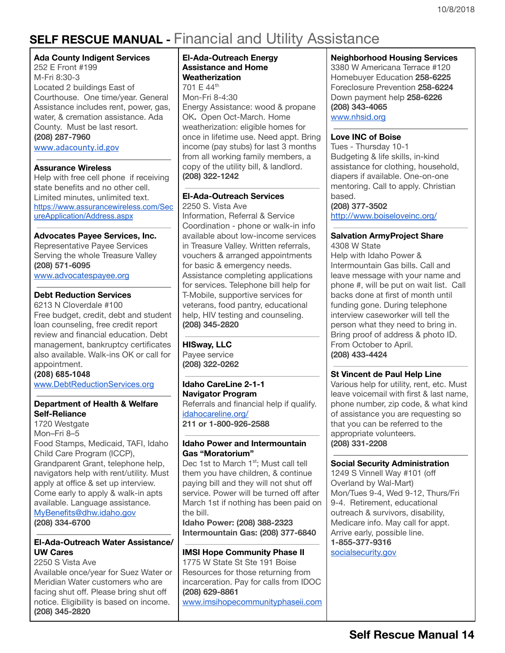# <span id="page-13-0"></span>**SELF RESCUE MANUAL -** Financial and Utility Assistance

### **Ada County Indigent Services**

252 E Front #199 M-Fri 8:30-3 Located 2 buildings East of Courthouse. One time/year. General Assistance includes rent, power, gas, water, & cremation assistance. Ada County. Must be last resort. **(208) 287-7960** [www.adacounty.id.gov](http://www.adacounty.id.gov/)

### **Assurance Wireless**

Help with free cell phone if receiving state benefits and no other cell. Limited minutes, unlimited text. [https://www.assurancewireless.com/Sec](https://www.assurancewireless.com/SecureApplication/Address.aspx) [ureApplication/Address.aspx](https://www.assurancewireless.com/SecureApplication/Address.aspx)

### **Advocates Payee Services, Inc.**

Representative Payee Services Serving the whole Treasure Valley **(208) 571-6095** [www.advocatespayee.org](http://www.advocatespayee.org/)

### **Debt Reduction Services**

6213 N Cloverdale #100 Free budget, credit, debt and student loan counseling, free credit report review and financial education. Debt management, bankruptcy certificates also available. Walk-ins OK or call for appointment.

**(208) 6851048** [www.DebtReductionServices.org](http://www.debtreductionservices.org/)

### **Department of Health & Welfare Self-Reliance**

1720 Westgate Mon–Fri 8–5 Food Stamps, Medicaid, TAFI, Idaho Child Care Program (ICCP), Grandparent Grant, telephone help, navigators help with rent/utility. Must apply at office & set up interview. Come early to apply & walk-in apts available. Language assistance. MyBenefits@dhw.idaho.gov **(208) 334-6700**

### **El-Ada-Outreach Water Assistance/ UW Cares**

2250 S Vista Ave Available once/year for Suez Water or Meridian Water customers who are facing shut off. Please bring shut off notice. Eligibility is based on income. **(208) 345-2820**

### **El-Ada-Outreach Energy Assistance and Home Weatherization**

701 E 44<sup>th</sup> Mon-Fri 8-4:30 Energy Assistance: wood & propane OK**.** Open Oct-March. Home weatherization: eligible homes for once in lifetime use. Need appt. Bring income (pay stubs) for last 3 months from all working family members, a copy of the utility bill, & landlord. **(208) 322-1242**

### **El-Ada-Outreach Services**

2250 S. Vista Ave Information, Referral & Service Coordination - phone or walk-in info available about low-income services in Treasure Valley. Written referrals, vouchers & arranged appointments for basic & emergency needs. Assistance completing applications for services. Telephone bill help for T-Mobile, supportive services for veterans, food pantry, educational help, HIV testing and counseling. **(208) 345-2820**

### **HISway, LLC**

Payee service **(208) 322-0262**

**Idaho CareLine 2-1-1 Navigator Program** Referrals and financial help if qualify. [idahocareline.org/](http://www.idahocareline.org/) **211 or 1-800-926-2588**

### **Idaho Power and Intermountain Gas "Moratorium"**

Dec 1st to March 1<sup>st</sup>; Must call tell them you have children, & continue paying bill and they will not shut off service. Power will be turned off after March 1st if nothing has been paid on the bill.

**Idaho Power: (208) 388-2323 Intermountain Gas: (208) 377-6840**

### **IMSI Hope Community Phase II**

1775 W State St Ste 191 Boise Resources for those returning from incarceration. Pay for calls from IDOC **(208) 629-8861** [www.imsihopecommunityphaseii.com](http://www.imsihopecommunityphaseii.com/)

### **Neighborhood Housing Services** 3380 W Americana Terrace #120 Homebuyer Education **258-6225**

Foreclosure Prevention **258-6224** Down payment help **258-6226 (208) 343-4065** www.nhsid.org

### **Love INC of Boise**

Tues - Thursday 10-1 Budgeting & life skills, in-kind assistance for clothing, household, diapers if available. One-on-one mentoring. Call to apply. Christian based. **(208) 377-3502**

http://www.boiseloveinc.org/

#### **Salvation ArmyProject Share** 4308 W State

Help with Idaho Power & Intermountain Gas bills. Call and leave message with your name and phone #, will be put on wait list. Call backs done at first of month until funding gone. During telephone interview caseworker will tell the person what they need to bring in. Bring proof of address & photo ID. From October to April. **(208) 433-4424**

### **St Vincent de Paul Help Line**

Various help for utility, rent, etc. Must leave voicemail with first & last name, phone number, zip code, & what kind of assistance you are requesting so that you can be referred to the appropriate volunteers. **(208) 331-2208**

### **Social Security Administration**

1249 S Vinnell Way #101 (off Overland by Wal-Mart) Mon/Tues 9-4, Wed 9-12, Thurs/Fri 9-4. Retirement, educational outreach & survivors, disability, Medicare info. May call for appt. Arrive early, possible line. **1-855-377-9316** socialsecurity.gov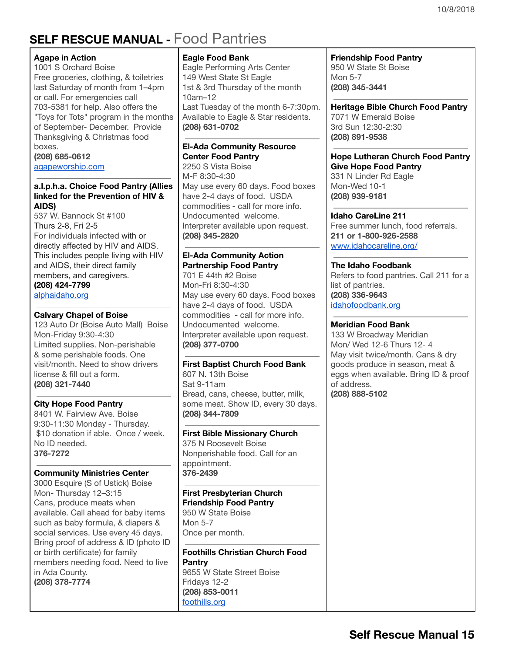# <span id="page-14-0"></span>**SELF RESCUE MANUAL -** Food Pantries

### **Agape in Action**

1001 S Orchard Boise Free groceries, clothing, & toiletries last Saturday of month from 1–4pm or call. For emergencies call 703-5381 for help. Also offers the "Toys for Tots" program in the months of September- December. Provide Thanksgiving & Christmas food boxes. **(208) 685-0612**

[agapeworship.com](http://www.agapeworship.com/)

### **a.l.p.h.a. Choice Food Pantry (Allies linked for the Prevention of HIV & AIDS)**

537 W. Bannock St #100 Thurs 2-8, Fri 2-5 For individuals infected with or directly affected by HIV and AIDS. This includes people living with HIV and AIDS, their direct family members, and caregivers. **(208) 424-7799** [alphaidaho.org](http://alphaidaho.org/)

### **Calvary Chapel of Boise**

123 Auto Dr (Boise Auto Mall) Boise Mon-Friday 9:30-4:30 Limited supplies. Non-perishable & some perishable foods. One visit/month. Need to show drivers license & fill out a form. **(208) 321-7440**

### **City Hope Food Pantry**

8401 W. Fairview Ave. Boise 9:30-11:30 Monday - Thursday. \$10 donation if able. Once / week. No ID needed. **376-7272**

### **Community Ministries Center**

3000 Esquire (S of Ustick) Boise Mon- Thursday 12–3:15 Cans, produce meats when available. Call ahead for baby items such as baby formula, & diapers & social services. Use every 45 days. Bring proof of address & ID (photo ID or birth certificate) for family members needing food. Need to live in Ada County. **(208) 378-7774**

### **Eagle Food Bank**

Eagle Performing Arts Center 149 West State St Eagle 1st & 3rd Thursday of the month 10am–12 Last Tuesday of the month 6-7:30pm. Available to Eagle & Star residents. **(208) 631-0702**

### **El-Ada Community Resource Center Food Pantry**

2250 S Vista Boise M-F 8:30-4:30 May use every 60 days. Food boxes have 2-4 days of food. USDA commodities - call for more info. Undocumented welcome. Interpreter available upon request. **(208) 345-2820**

### **El-Ada Community Action Partnership Food Pantry**

701 E 44th #2 Boise Mon-Fri 8:30-4:30 May use every 60 days. Food boxes have 2-4 days of food. USDA commodities - call for more info. Undocumented welcome. Interpreter available upon request. **(208) 377-0700**

### **First Baptist Church Food Bank**

607 N. 13th Boise Sat 9-11am Bread, cans, cheese, butter, milk, some meat. Show ID, every 30 days. **(208) 344-7809**

### **First Bible Missionary Church**

375 N Roosevelt Boise Nonperishable food. Call for an appointment. **376-2439**

### **First Presbyterian Church Friendship Food Pantry** 950 W State Boise

Mon 5-7 Once per month.

**Foothills Christian Church Food Pantry** 9655 W State Street Boise Fridays 12-2 **(208) 853-0011** foothills.org

### **Friendship Food Pantry** 950 W State St Boise Mon 5-7 **(208) 345-3441**

**Heritage Bible Church Food Pantry** 7071 W Emerald Boise 3rd Sun 12:30-2:30 **(208) 891-9538**

#### **Hope Lutheran Church Food Pantry Give Hope Food Pantry** 331 N Linder Rd Eagle

Mon-Wed 10-1 **(208) 939-9181**

### **Idaho CareLine 211**

Free summer lunch, food referrals. **211 or 1-800-926-2588** [www.idahocareline.org/](http://www.idahocareline.org/)

### **The Idaho Foodbank**

Refers to food pantries. Call 211 for a list of pantries. **(208) 336-9643** idahofoodbank.org

### **Meridian Food Bank**

133 W Broadway Meridian Mon/ Wed 12-6 Thurs 12- 4 May visit twice/month. Cans & dry goods produce in season, meat & eggs when available. Bring ID & proof of address. **(208) 888-5102**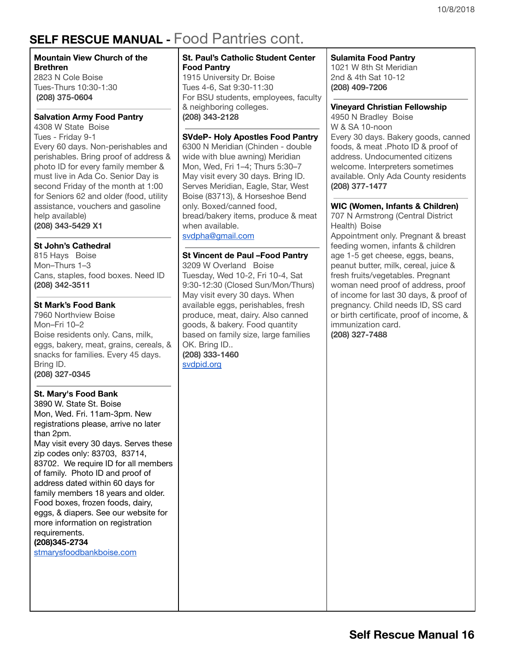# **SELF RESCUE MANUAL -** Food Pantries cont.

### **Mountain View Church of the Brethren**

2823 N Cole Boise Tues-Thurs 10:30-1:30 **(208) 375-0604**

### **Salvation Army Food Pantry**

4308 W State Boise Tues - Friday 9-1 Every 60 days. Non-perishables and perishables. Bring proof of address & photo ID for every family member & must live in Ada Co. Senior Day is second Friday of the month at 1:00 for Seniors 62 and older (food, utility assistance, vouchers and gasoline help available) **(208) 343-5429 X1**

### **St John's Cathedral**

815 Hays Boise Mon–Thurs 1–3 Cans, staples, food boxes. Need ID **(208) 342-3511**

### **St Mark's Food Bank**

7960 Northview Boise Mon–Fri 10–2 Boise residents only. Cans, milk, eggs, bakery, meat, grains, cereals, & snacks for families. Every 45 days. Bring ID. **(208) 327-0345**

### **St. Mary's Food Bank**

3890 W. State St. [Boise](https://maps.google.com/?q=3890+W.+State+St.+Boise+83703&entry=gmail&source=g) Mon, Wed. Fri. 11am-3pm. New registrations please, arrive no later than 2pm. May visit every 30 days. Serves these zip codes only: 83703, 83714, 83702. We require ID for all members of family. Photo ID and proof of address dated within 60 days for family members 18 years and older. Food boxes, frozen foods, dairy, eggs, & diapers. See our website for more information on registration requirements.

### **(208)345-2734**

[stmarysfoodbankboise.com](http://stmarysfoodbankboise.com/)

### **St. Paul's Catholic Student Center Food Pantry**

1915 University Dr. Boise Tues 4-6, Sat 9:30-11:30 For BSU students, employees, faculty & neighboring colleges. **(208) 343-2128**

### **SVdeP- Holy Apostles Food Pantry**

6300 N Meridian (Chinden - double wide with blue awning) Meridian Mon, Wed, Fri 1–4; Thurs 5:30–7 May visit every 30 days. Bring ID. Serves Meridian, Eagle, Star, West Boise (83713), & Horseshoe Bend only. Boxed/canned food, bread/bakery items, produce & meat when available.

svdpha@gmail.com

### **St Vincent de Paul –Food Pantry**

3209 W Overland Boise Tuesday, Wed 10-2, Fri 10-4, Sat 9:30-12:30 (Closed Sun/Mon/Thurs) May visit every 30 days. When available eggs, perishables, fresh produce, meat, dairy. Also canned goods, & bakery. Food quantity based on family size, large families OK. Bring ID.. **(208) 333-1460** svdpid.org

### **Sulamita Food Pantry**

1021 W 8th St Meridian 2nd & 4th Sat 10-12 **(208) 409-7206**

#### **Vineyard Christian Fellowship**

4950 N Bradley Boise W & SA 10-noon Every 30 days. Bakery goods, canned foods, & meat .Photo ID & proof of address. Undocumented citizens welcome. Interpreters sometimes available. Only Ada County residents **(208) 377-1477**

### **WIC (Women, Infants & Children)**

707 N Armstrong (Central District Health) Boise Appointment only. Pregnant & breast feeding women, infants & children age 1-5 get cheese, eggs, beans, peanut butter, milk, cereal, juice & fresh fruits/vegetables. Pregnant woman need proof of address, proof of income for last 30 days, & proof of pregnancy. Child needs ID, SS card or birth certificate, proof of income, & immunization card. **(208) 327-7488**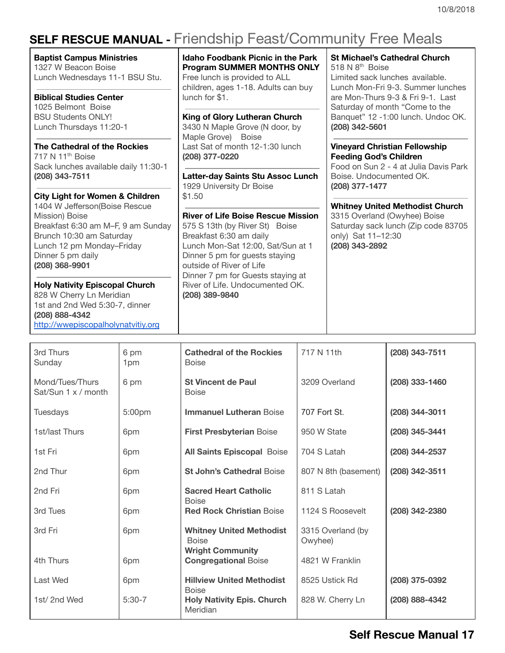# <span id="page-16-0"></span>**SELF RESCUE MANUAL -** Friendship Feast/Community Free Meals

**Baptist Campus Ministries** 1327 W Beacon Boise Lunch Wednesdays 11-1 BSU Stu.

**Biblical Studies Center** 1025 Belmont Boise BSU Students ONLY! Lunch Thursdays 11:20-1

**The Cathedral of the Rockies** 717 N 11<sup>th</sup> Boise Sack lunches available daily 11:30-1 **(208) 343-7511**

**City Light for Women & Children** 1404 W Jefferson(Boise Rescue Mission) Boise Breakfast 6:30 am M–F, 9 am Sunday Brunch 10:30 am Saturday Lunch 12 pm Monday–Friday Dinner 5 pm daily

**(208) 368-9901 Holy Nativity Episcopal Church** 828 W Cherry Ln Meridian 1st and 2nd Wed 5:30-7, dinner **(208) 888-4342**

http://wwepiscopalholynatvitiy.org

**Idaho Foodbank Picnic in the Park Program SUMMER MONTHS ONLY** Free lunch is provided to ALL children, ages 1-18. Adults can buy lunch for \$1.

**King of Glory Lutheran Church** 3430 N Maple Grove (N door, by Maple Grove) Boise Last Sat of month 12-1:30 lunch **(208) 377-0220**

**Latter-day Saints Stu Assoc Lunch** 1929 University Dr Boise \$1.50

**River of Life Boise Rescue Mission** 575 S 13th (by River St) Boise Breakfast 6:30 am daily Lunch Mon-Sat 12:00, Sat/Sun at 1 Dinner 5 pm for guests staying outside of River of Life Dinner 7 pm for Guests staying at River of Life. Undocumented OK. **(208) 389-9840**

**St Michael's Cathedral Church** 518 N 8<sup>th</sup> Boise

Limited sack lunches available. Lunch Mon-Fri 9-3. Summer lunches are Mon-Thurs 9-3 & Fri 9-1. Last Saturday of month "Come to the Banquet" 12 -1:00 lunch. Undoc OK. **(208) 342-5601**

**Vineyard Christian Fellowship Feeding God's Children**

Food on Sun 2 - 4 at Julia Davis Park Boise. Undocumented OK. **(208) 377-1477**

**Whitney United Methodist Church**

3315 Overland (Owyhee) Boise Saturday sack lunch (Zip code 83705 only) Sat 11–12:30 **(208) 343-2892**

| 3rd Thurs<br>Sunday                    | 6 pm<br>1pm        | <b>Cathedral of the Rockies</b><br><b>Boise</b>                            | 717 N 11th                   | (208) 343-7511   |
|----------------------------------------|--------------------|----------------------------------------------------------------------------|------------------------------|------------------|
| Mond/Tues/Thurs<br>Sat/Sun 1 x / month | 6 pm               | <b>St Vincent de Paul</b><br><b>Boise</b>                                  | 3209 Overland                | (208) 333-1460   |
| <b>Tuesdays</b>                        | 5:00 <sub>pm</sub> | <b>Immanuel Lutheran Boise</b>                                             | 707 Fort St.                 | $(208)$ 344-3011 |
| 1st/last Thurs                         | 6pm                | <b>First Presbyterian Boise</b>                                            | 950 W State                  | (208) 345-3441   |
| 1st Fri                                | 6pm                | <b>All Saints Episcopal Boise</b>                                          | 704 S Latah                  | (208) 344-2537   |
| 2nd Thur                               | 6pm                | <b>St John's Cathedral Boise</b>                                           | 807 N 8th (basement)         | (208) 342-3511   |
| 2nd Fri                                | 6pm                | <b>Sacred Heart Catholic</b><br><b>Boise</b>                               | 811 S Latah                  |                  |
| 3rd Tues                               | 6pm                | <b>Red Rock Christian Boise</b>                                            | 1124 S Roosevelt             | (208) 342-2380   |
| 3rd Fri                                | 6pm                | <b>Whitney United Methodist</b><br><b>Boise</b><br><b>Wright Community</b> | 3315 Overland (by<br>Owyhee) |                  |
| 4th Thurs                              | 6pm                | <b>Congregational Boise</b>                                                | 4821 W Franklin              |                  |
| Last Wed                               | 6pm                | <b>Hillview United Methodist</b><br><b>Boise</b>                           | 8525 Ustick Rd               | (208) 375-0392   |
| 1st/2nd Wed                            | $5:30-7$           | <b>Holy Nativity Epis. Church</b><br>Meridian                              | 828 W. Cherry Ln             | (208) 888-4342   |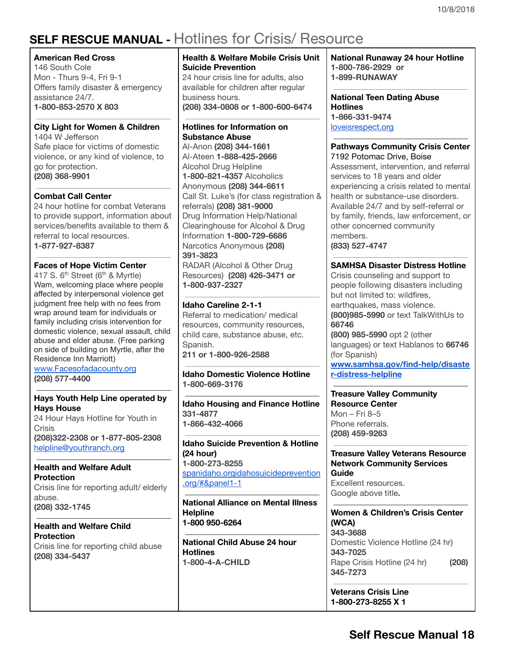# <span id="page-17-0"></span>**SELF RESCUE MANUAL -** Hotlines for Crisis/ Resource

### **American Red Cross**

146 South Cole Mon - Thurs 9-4, Fri 9-1 Offers family disaster & emergency assistance 24/7. **1-800-853-2570 X 803**

### **City Light for Women & Children**

1404 W Jefferson Safe place for victims of domestic violence, or any kind of violence, to go for protection. **(208) 368-9901**

### **Combat Call Center**

24 hour hotline for combat Veterans to provide support, information about services/benefits available to them & referral to local resources. **1-877-927-8387**

### **Faces of Hope Victim Center**

417 S. 6<sup>th</sup> Street (6<sup>th</sup> & Myrtle) Wam, welcoming place where people affected by interpersonal violence get judgment free help with no fees from wrap around team for individuals or family including crisis intervention for domestic violence, sexual assault, child abuse and elder abuse. (Free parking on side of building on Myrtle, after the Residence Inn Marriott)

[www.Facesofadacounty.org](http://www.facesofadacounty.org/) **(208) 577-4400**

### **Hays Youth Help Line operated by Hays House**

24 Hour Hays Hotline for Youth in Crisis **(208)322-2308 or 1-877-805-2308** helpline@youthranch.org

### **Health and Welfare Adult Protection**

Crisis line for reporting adult/ elderly abuse. **(208) 332-1745**

### **Health and Welfare Child Protection**

Crisis line for reporting child abuse **(208) 334-5437**

### **Health & Welfare Mobile Crisis Unit Suicide Prevention**

24 hour crisis line for adults, also available for children after regular business hours. **(208) 334-0808 or 1-800-600-6474**

### **Hotlines for Information on Substance Abuse**

Al-Anon **(208) 344-1661** Al-Ateen **1-888-425-2666** Alcohol Drug Helpline **1-800-821-4357** Alcoholics Anonymous **(208) 344-6611** Call St. Luke's (for class registration & referrals) **(208) 381-9000** Drug Information Help/National Clearinghouse for Alcohol & Drug Information **1-800-729-6686** Narcotics Anonymous **(208) 391-3823** RADAR (Alcohol & Other Drug Resources) **(208) 426-3471 or**

**1-800-937-2327**

### **Idaho Careline 2-1-1**

Referral to medication/ medical resources, community resources, child care, substance abuse, etc. Spanish. **211 or 1-800-926-2588**

**Idaho Domestic Violence Hotline 1-800-669-3176**

**Idaho Housing and Finance Hotline 331-4877 1-866-432-4066**

**Idaho Suicide Prevention & Hotline (24 hour) 1-800-273-8255** [spanidaho.org](http://www.spanidaho.org/)[idahosuicideprevention](http://www.idahosuicideprevention.org/#&panel1-1) [.org/#&panel1-1](http://www.idahosuicideprevention.org/#&panel1-1)

**National Alliance on Mental Illness Helpline 1-800 950-6264**

**National Child Abuse 24 hour Hotlines 1-800-4-A-CHILD**

**National Runaway 24 hour Hotline 1-800-786-2929 or 1-899-RUNAWAY**

**National Teen Dating Abuse Hotlines 1-866-331-9474** [loveisrespect.org](http://www.loveisrespect.org/)

#### **Pathways Community Crisis Center** 7192 [Potomac](https://maps.google.com/?q=7192+Potomac+Drive,+Boise&entry=gmail&source=g) Drive, Boise

Assessment, intervention, and referral services to 18 years and older experiencing a crisis related to mental health or substance-use disorders. Available 24/7 and by self-referral or by family, friends, law enforcement, or other concerned community members. **(833) 527-4747**

### **SAMHSA Disaster Distress Hotline**

Crisis counseling and support to people following disasters including but not limited to: wildfires, earthquakes, mass violence. **(800)985-5990** or text TalkWithUs to **66746**

**(800) 985-5990** opt 2 (other languages) or text Hablanos to **66746** (for Spanish)

**[www.samhsa.gov/find-help/disaste](http://www.samhsa.gov/find-help/disaster-distress-helpline) [r-distress-helpline](http://www.samhsa.gov/find-help/disaster-distress-helpline)**

**Treasure Valley Community Resource Center** Mon – Fri 8–5 Phone referrals. **(208) 459-9263**

**Treasure Valley Veterans Resource Network Community Services Guide** Excellent resources. Google above title**.**

**Women & Children's Crisis Center (WCA) 343-3688** Domestic Violence Hotline (24 hr) **343-7025** Rape Crisis Hotline (24 hr) **(208) 345-7273**

**Veterans Crisis Line 1-800-273-8255 X 1**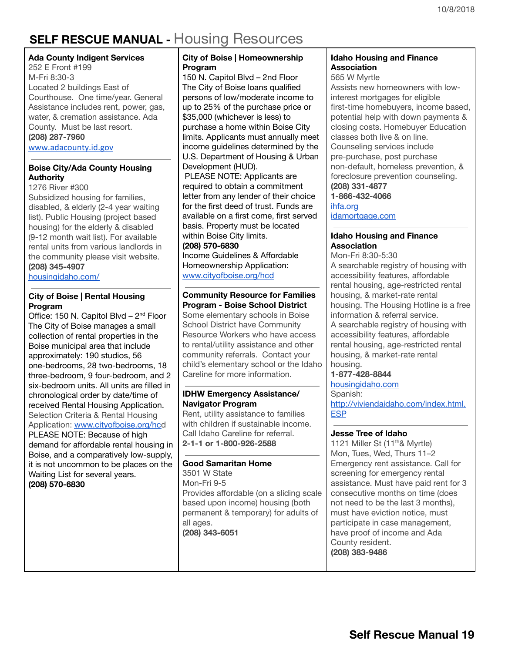# <span id="page-18-0"></span>**SELF RESCUE MANUAL -** Housing Resources

### **Ada County Indigent Services**

252 E Front #199 M-Fri 8:30-3 Located 2 buildings East of Courthouse. One time/year. General Assistance includes rent, power, gas, water, & cremation assistance. Ada County. Must be last resort. **(208) 287-7960** [www.adacounty.id.gov](http://www.adacounty.id.gov/)

### **Boise City/Ada County Housing Authority**

1276 River #300 Subsidized housing for families, disabled, & elderly (2-4 year waiting list). Public Housing (project based housing) for the elderly & disabled (9-12 month wait list). For available rental units from various landlords in the community please visit website. **(208) 345-4907**

[housingidaho.com/](http://www.housingidaho.com/)

### **City of Boise | Rental Housing Program**

Office: 150 N. [Capitol](https://maps.google.com/?q=150+N.+Capitol+Blvd&entry=gmail&source=g) Blvd - 2<sup>nd</sup> Floor The City of Boise manages a small collection of rental properties in the Boise municipal area that include approximately: 190 studios, 56 one-bedrooms, 28 two-bedrooms, 18 three-bedroom, 9 four-bedroom, and 2 six-bedroom units. All units are filled in chronological order by date/time of received Rental Housing Application. Selection Criteria & Rental Housing Application: [www.cityofboise.org/hcd](http://www.cityofboise.org/hcd) PLEASE NOTE: Because of high demand for affordable rental housing in Boise, and a comparatively low-supply, it is not uncommon to be places on the Waiting List for several years. **(208) 570-6830**

### **City of Boise | Homeownership Program**

150 N. [Capitol](https://maps.google.com/?q=150+N.+Capitol+Blvd+%E2%80%93+2nd+Floor&entry=gmail&source=g) Blvd – 2nd [Floor](https://maps.google.com/?q=150+N.+Capitol+Blvd+%E2%80%93+2nd+Floor&entry=gmail&source=g) The City of Boise loans qualified persons of low/moderate income to up to 25% of the purchase price or \$35,000 (whichever is less) to purchase a home within Boise City limits. Applicants must annually meet income guidelines determined by the U.S. Department of Housing & Urban Development (HUD).

PLEASE NOTE: Applicants are required to obtain a commitment letter from any lender of their choice for the first deed of trust. Funds are available on a first come, first served basis. Property must be located within Boise City limits.

#### **(208) 570-6830**

Income Guidelines & Affordable Homeownership Application: [www.cityofboise.org/hcd](http://www.cityofboise.org/hcd)

### **Community Resource for Families Program - Boise School District**

Some elementary schools in Boise School District have Community Resource Workers who have access to rental/utility assistance and other community referrals. Contact your child's elementary school or the Idaho Careline for more information.

### **IDHW Emergency Assistance/ Navigator Program**

Rent, utility assistance to families with children if sustainable income. Call Idaho Careline for referral. **2-1-1 or 1-800-926-2588**

### **Good Samaritan Home**

3501 W State Mon-Fri 9-5 Provides affordable (on a sliding scale based upon income) housing (both permanent & temporary) for adults of all ages. **(208) 343-6051**

### **Idaho Housing and Finance Association**

565 W Myrtle

Assists new homeowners with lowinterest mortgages for eligible first-time homebuyers, income based, potential help with down payments & closing costs. Homebuyer Education classes both live & on line. Counseling services include pre-purchase, post purchase non-default, homeless prevention, & foreclosure prevention counseling. **(208) 331-4877 1-866-432-4066** [ihfa.org](http://www.ihfa.org/)

[idamortgage.com](http://www.idamortgage.com/)

### **Idaho Housing and Finance Association**

Mon-Fri 8:30-5:30 A searchable registry of housing with accessibility features, affordable rental housing, age-restricted rental housing, & market-rate rental housing. The Housing Hotline is a free information & referral service. A searchable registry of housing with accessibility features, affordable rental housing, age-restricted rental housing, & market-rate rental housing.

### **1-877-428-8844**

[housingidaho.com](http://www.housingidaho.com/)

### Spanish:

[http://viviendaidaho.com/index.html.](http://viviendaidaho.com/index.html.ESP) **[ESP](http://viviendaidaho.com/index.html.ESP)** 

### **Jesse Tree of Idaho**

1121 Miller St (11<sup>th</sup>& Myrtle) Mon, Tues, Wed, Thurs 11–2 Emergency rent assistance. Call for screening for emergency rental assistance. Must have paid rent for 3 consecutive months on time (does not need to be the last 3 months), must have eviction notice, must participate in case management, have proof of income and Ada County resident. **(208) 383-9486**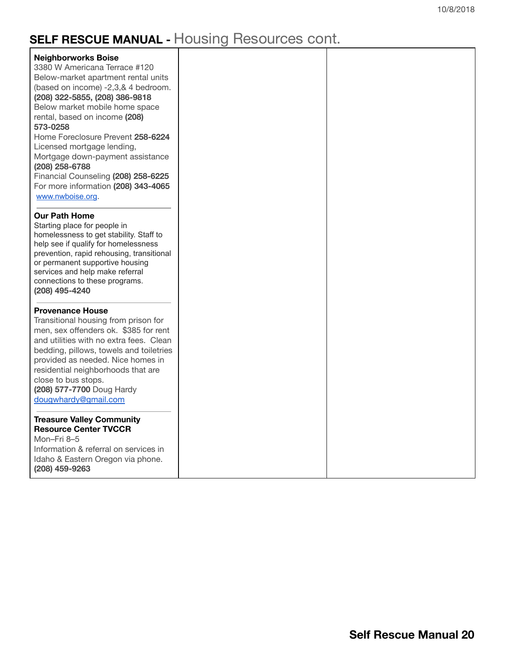# **SELF RESCUE MANUAL -** Housing Resources cont.

| <b>Neighborworks Boise</b><br>3380 W Americana Terrace #120<br>Below-market apartment rental units<br>(based on income) -2,3,& 4 bedroom.<br>(208) 322-5855, (208) 386-9818<br>Below market mobile home space<br>rental, based on income (208)<br>573-0258<br>Home Foreclosure Prevent 258-6224<br>Licensed mortgage lending,<br>Mortgage down-payment assistance<br>(208) 258-6788<br>Financial Counseling (208) 258-6225<br>For more information (208) 343-4065 |  |
|-------------------------------------------------------------------------------------------------------------------------------------------------------------------------------------------------------------------------------------------------------------------------------------------------------------------------------------------------------------------------------------------------------------------------------------------------------------------|--|
| www.nwboise.org.<br><b>Our Path Home</b><br>Starting place for people in<br>homelessness to get stability. Staff to<br>help see if qualify for homelessness<br>prevention, rapid rehousing, transitional<br>or permanent supportive housing<br>services and help make referral<br>connections to these programs.<br>(208) 495-4240                                                                                                                                |  |
| <b>Provenance House</b><br>Transitional housing from prison for<br>men, sex offenders ok. \$385 for rent<br>and utilities with no extra fees. Clean<br>bedding, pillows, towels and toiletries<br>provided as needed. Nice homes in<br>residential neighborhoods that are<br>close to bus stops.<br>(208) 577-7700 Doug Hardy<br>dougwhardy@gmail.com                                                                                                             |  |
| <b>Treasure Valley Community</b><br><b>Resource Center TVCCR</b><br>Mon-Fri 8-5<br>Information & referral on services in<br>Idaho & Eastern Oregon via phone.<br>(208) 459-9263                                                                                                                                                                                                                                                                                   |  |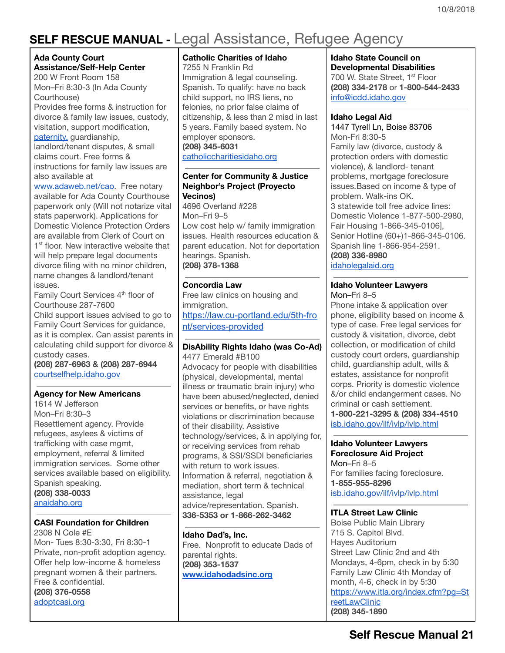# <span id="page-20-0"></span>**SELF RESCUE MANUAL -** Legal Assistance, Refugee Agency

#### **Ada County Court Assistance/Self-Help Center** 200 W Front Room 158

Mon–Fri 8:30-3 (In Ada County Courthouse)

Provides free forms & instruction for divorce & family law issues, custody, visitation, support modification, [paternity,](http://www.courtselfhelp.idaho.gov/forms_new.asp?CAT_ID=29) guardianship,

landlord/tenant disputes, & small claims court. Free forms & instructions for family law issues are also available a[t](http://www.adaweb.net/cao)

[www.adaweb.net/cao.](http://www.adaweb.net/cao) Free notary available for Ada County Courthouse paperwork only (Will not notarize vital stats paperwork). Applications for Domestic Violence Protection Orders are available from Clerk of Court on 1<sup>st</sup> floor. New interactive website that will help prepare legal documents divorce filing with no minor children, name changes & landlord/tenant issues.

Family Court Services 4<sup>th</sup> floor of Courthouse 287-7600

Child support issues advised to go to Family Court Services for guidance, as it is complex. Can assist parents in calculating child support for divorce & custody cases.

**(208) 287-6963 & (208) 287-6944** [courtselfhelp.idaho.gov](http://www.courtselfhelp.idaho.gov/)

### **Agency for New Americans**

1614 W Jefferson Mon–Fri 8:30–3 Resettlement agency. Provide refugees, asylees & victims of trafficking with case mgmt, employment, referral & limited immigration services. Some other services available based on eligibility. Spanish speaking. **(208) 338-0033** [anaidaho.org](http://www.anaidaho.org/)

### **CASI Foundation for Children**

2308 N Cole #E Mon- Tues 8:30-3:30, Fri 8:30-1 Private, non-profit adoption agency. Offer help low-income & homeless pregnant women & their partners. Free & confidential. **(208) 376-0558** [adoptcasi.org](http://www.adoptcasi.org/)

### **Catholic Charities of Idaho**

7255 N Franklin Rd Immigration & legal counseling. Spanish. To qualify: have no back child support, no IRS liens, no felonies, no prior false claims of citizenship, & less than 2 misd in last 5 years. Family based system. No employer sponsors. **(208) 345-6031** [catholiccharitiesidaho.org](http://www.catholiccharitiesidaho.org/)

### **Center for Community & Justice Neighbor's Project (Proyecto Vecinos)**

4696 Overland #228 Mon–Fri 9–5 Low cost help w/ family immigration issues. Health resources education & parent education. Not for deportation hearings. Spanish. **(208) 378-1368**

### **Concordia Law**

Free law clinics on housing and immigration. https://law.cu-portland.edu/5th-fro nt/services-provided

### **DisAbility Rights Idaho (was Co-Ad)**

4477 Emerald #B100 Advocacy for people with disabilities (physical, developmental, mental illness or traumatic brain injury) who have been abused/neglected, denied services or benefits, or have rights violations or discrimination because of their disability. Assistive technology/services, & in applying for, or receiving services from rehab programs, & SSI/SSDI beneficiaries with return to work issues. Information & referral, negotiation & mediation, short term & technical assistance, legal advice/representation. Spanish. **336-5353 or 1-866-262-3462**

### **Idaho Dad's, Inc.**

Free. Nonprofit to educate Dads of parental rights. **(208) 353-1537 [www.idahodadsinc.org](http://www.idahodadsinc.org/)**

### **Idaho State Council on**

**Developmental Disabilities** 700 W. State Street, 1<sup>st</sup> Floor **(208) 334-2178** or **1-800-544-2433** [info@icdd.idaho.gov](mailto:info@icdd.idaho.gov)

#### **Idaho Legal Aid**

1447 Tyrell Ln, Boise [83706](https://maps.google.com/?q=1447+Tyrell+Ln,+Boise,+ID+83706&entry=gmail&source=g) Mon-Fri 8:30-5 Family law (divorce, custody & protection orders with domestic violence), & landlord- tenant problems, mortgage foreclosure issues.Based on income & type of problem. Walk-ins OK. 3 statewide toll free advice lines: Domestic Violence 1-877-500-2980, Fair Housing 1-866-345-0106], Senior Hotline (60+)1-866-345-0106. Spanish line 1-866-954-2591. **(208) 336-8980** [idaholegalaid.org](http://www.idaholegalaid.org/)

#### **Idaho Volunteer Lawyers** [Mo](http://isb.idaho.gov/ilf/ivlp/ivlp.html)n–Fri 8–5

Phone intake & application over phone, eligibility based on income & type of case. Free legal services for custody & visitation, divorce, debt collection, or modification of child custody court orders, guardianship child, guardianship adult, wills & estates, assistance for nonprofit corps. Priority is domestic violence &/or child endangerment cases. No criminal or cash settlement. **1-800-221-3295 & (208) 334-4510** [isb.idaho.gov/ilf/ivlp/ivlp.html](http://isb.idaho.gov/ilf/ivlp/ivlp.html)

#### **Idaho Volunteer Lawyers Foreclosure Aid Project**

[Mo](http://isb.idaho.gov/ilf/ivlp/ivlp.html)n–Fri 8–5 For families facing foreclosure. **1-855-955-8296** [isb.idaho.gov/ilf/ivlp/ivlp.html](http://isb.idaho.gov/ilf/ivlp/ivlp.html)

### **ITLA Street Law Clinic**

Boise Public Main Library 715 S. Capitol Blvd. Hayes Auditorium Street Law Clinic 2nd and 4th Mondays, 4-6pm, check in by 5:30 Family Law Clinic 4th Monday of month, 4-6, check in by 5:30 [https://www.itla.org/index.cfm?pg=St](https://www.itla.org/index.cfm?pg=StreetLawClinic) [reetLawClinic](https://www.itla.org/index.cfm?pg=StreetLawClinic) **(208) 345-1890**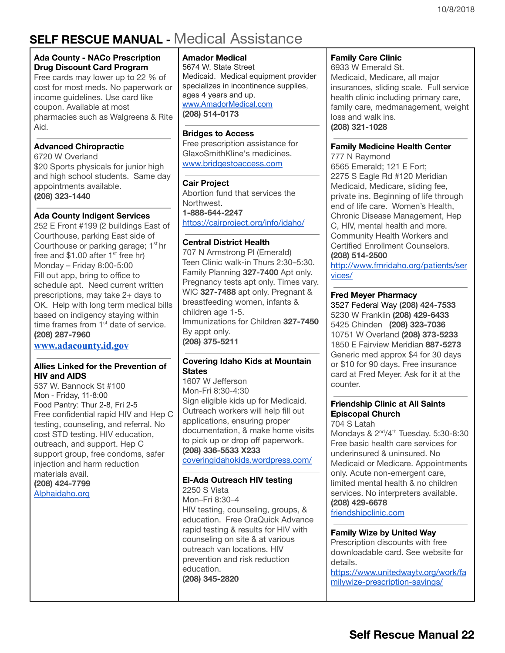# <span id="page-21-0"></span>**SELF RESCUE MANUAL -** Medical Assistance

### **Ada County - NACo Prescription Drug Discount Card Program**

Free cards may lower up to 22 % of cost for most meds. No paperwork or income guidelines. Use card like coupon. Available at most pharmacies such as Walgreens & Rite Aid.

### **Advanced Chiropractic**

6720 W Overland \$20 Sports physicals for junior high and high school students. Same day appointments available. **(208) 323-1440**

### **Ada County Indigent Services**

252 E Front #199 (2 buildings East of Courthouse, parking East side of Courthouse or parking garage; 1<sup>st</sup> hr free and  $$1.00$  after  $1<sup>st</sup>$  free hr) Monday – Friday 8:00-5:00 Fill out app, bring to office to schedule apt. Need current written prescriptions, may take 2+ days to OK. Help with long term medical bills based on indigency staying within time frames from 1<sup>st</sup> date of service. **(208) 287-7960**

### **[www.adacounty.id.gov](http://www.adacounty.id.gov/)**

#### **Allies Linked for the Prevention of HIV and AIDS**

537 W. Bannock St #100 Mon - Friday, 11-8:00 Food Pantry: Thur 2-8, Fri 2-5 Free confidential rapid HIV and Hep C testing, counseling, and referral. No cost STD testing. HIV education, outreach, and support. Hep C support group, free condoms, safer injection and harm reduction materials avail. **(208) 424-7799** [Alphaidaho.org](http://alphaidaho.org/)

### **Amador Medical**

5674 W. State Street Medicaid. Medical equipment provider specializes in incontinence supplies, ages 4 years and up. [www.AmadorMedical.com](http://www.amadormedical.com/) **(208) 514-0173**

### **Bridges to Access**

Free prescription assistance for GlaxoSmithKline's medicines. [www.bridgestoaccess.com](http://www.bridgestoaccess.com/)

### **Cair Project**

Abortion fund that services the Northwest. **1-888-644-2247** <https://cairproject.org/info/idaho/>

### **Central District Health**

707 N Armstrong Pl (Emerald) Teen Clinic walk-in Thurs 2:30–5:30. Family Planning **327-7400** Apt only. Pregnancy tests apt only. Times vary. WIC **327-7488** apt only. Pregnant & breastfeeding women, infants & children age 1-5. Immunizations for Children **327-7450** By appt only. **(208) 375-5211**

### **Covering Idaho Kids at Mountain States**

1607 W Jefferson Mon-Fri 8:30-4:30 Sign eligible kids up for Medicaid. Outreach workers will help fill out applications, ensuring proper documentation, & make home visits to pick up or drop off paperwork. **(208) 336-5533 X233** [coveringidahokids.wordpress.com/](http://coveringidahokids.wordpress.com/)

### **El-Ada Outreach HIV testing**

2250 S Vista Mon–Fri 8:30–4 HIV testing, counseling, groups, & education. Free OraQuick Advance rapid testing & results for HIV with counseling on site & at various outreach van locations. HIV prevention and risk reduction education. **(208) 345-2820**

### **Family Care Clinic**

6933 W Emerald St. Medicaid, Medicare, all major insurances, sliding scale. Full service health clinic including primary care, family care, medmanagement, weight loss and walk ins. **(208) 321-1028**

### **Family Medicine Health Center**

777 N Raymond 6565 Emerald; 121 E Fort; 2275 S Eagle Rd #120 Meridian Medicaid, Medicare, sliding fee, private ins. Beginning of life through end of life care. Women's Health, Chronic Disease Management, Hep C, HIV, mental health and more. Community Health Workers and Certified Enrollment Counselors. **(208) 514-2500**

[http://www.fmridaho.org/patients/ser](http://www.fmridaho.org/patients/services/) [vices/](http://www.fmridaho.org/patients/services/)

### **Fred Meyer Pharmacy**

3527 Federal Way **(208) 424-7533** 5230 W Franklin **(208) 429-6433** 5425 Chinden **(208) 323-7036** 10751 W Overland **(208) 373-5233** 1850 E Fairview Meridian **887-5273** Generic med approx \$4 for 30 days or \$10 for 90 days. Free insurance card at Fred Meyer. Ask for it at the counter.

### **Friendship Clinic at All Saints Episcopal Church**

704 S Latah

Mondays & 2<sup>nd</sup>/4<sup>th</sup> Tuesday. 5:30-8:30 Free basic health care services for underinsured & uninsured. No Medicaid or Medicare. Appointments only. Acute non-emergent care, limited mental health & no children services. No interpreters available. **(208) 429-6678**

[friendshipclinic.com](http://www.friendshipclinic.com/)

### **Family Wize by United Way**

Prescription discounts with free downloadable card. See website for details.

https://www.unitedwaytv.org/work/fa milywize-prescription-savings/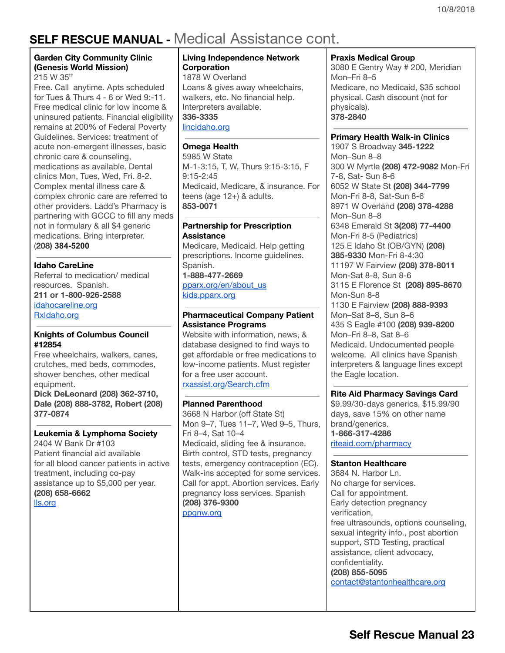# **SELF RESCUE MANUAL -** Medical Assistance cont.

### **Garden City Community Clinic (Genesis World Mission)** 215 W 35<sup>th</sup>

Free. Call anytime. Apts scheduled for Tues & Thurs 4 - 6 or Wed 9:-11. Free medical clinic for low income & uninsured patients. Financial eligibility remains at 200% of Federal Poverty Guidelines. Services: treatment of acute non-emergent illnesses, basic chronic care & counseling, medications as available. Dental clinics Mon, Tues, Wed, Fri. 8-2. Complex mental illness care & complex chronic care are referred to other providers. Ladd's Pharmacy is partnering with GCCC to fill any meds not in formulary & all \$4 generic medications. Bring interpreter. (**208) 3845200**

### **Idaho CareLine**

Referral to medication/ medical resources. Spanish. **211 or 1-800-926-2588** [idahocareline.org](http://www.idahocareline.org/) [RxIdaho.org](http://www.rxidaho.org/)

### **Knights of Columbus Council #12854**

Free wheelchairs, walkers, canes, crutches, med beds, commodes, shower benches, other medical equipment.

**Dick DeLeonard (208) 362-3710, Dale (208) 888-3782, Robert (208) 377-0874**

#### **Leukemia & Lymphoma Society** 2404 W Bank Dr #103

Patient financial aid available for all blood cancer patients in active treatment, including co-pay assistance up to \$5,000 per year. **(208) 658-6662** lls.org

### **Living Independence Network Corporation**

1878 W Overland Loans & gives away wheelchairs, walkers, etc. No financial help. Interpreters available. **336-3335** lincidaho.org

### **Omega Health**

5985 W State M-1-3:15, T, W, Thurs 9:15-3:15, F 9:15-2:45 Medicaid, Medicare, & insurance. For teens (age 12+) & adults. **853-0071**

### **Partnership for Prescription Assistance**

Medicare, Medicaid. Help getting prescriptions. Income guidelines. Spanish. **1-888-477-2669** [pparx.org/en/about\\_us](http://www.pparx.org/en/about_us) kids.pparx.org

### **Pharmaceutical Company Patient Assistance Programs**

Website with information, news, & database designed to find ways to get affordable or free medications to low-income patients. Must register for a free user account. [rxassist.org/Search.cfm](http://www.rxassist.org/Search.cfm)

### **Planned Parenthood**

3668 N Harbor (off State St) Mon 9–7, Tues 11–7, Wed 9–5, Thurs, Fri 8–4, Sat 10–4 Medicaid, sliding fee & insurance. Birth control, STD tests, pregnancy tests, emergency contraception (EC). Walk-ins accepted for some services. Call for appt. Abortion services. Early pregnancy loss services. Spanish **(208) 376-9300** ppgnw.org

### **Praxis Medical Group**

3080 E Gentry Way # 200, Meridian Mon–Fri 8–5 Medicare, no Medicaid, \$35 school physical. Cash discount (not for physicals). **378-2840**

**Primary Health Walk-in Clinics**

1907 S Broadway **345-1222** Mon–Sun 8–8 300 W Myrtle **(208) 472-9082** Mon-Fri 7-8, Sat- Sun 8-6 6052 W State St **(208) 344-7799** Mon-Fri 8-8, Sat-Sun 8-6 8971 W Overland **(208) 378-4288** Mon–Sun 8–8 6348 Emerald St **3(208) 77-4400** Mon-Fri 8-5 (Pediatrics) 125 E Idaho St (OB/GYN) **(208) 385-9330** Mon-Fri 8-4:30 11197 W Fairview **(208) 378-8011** Mon-Sat 8-8, Sun 8-6 3115 E Florence St **(208) 895-8670** Mon-Sun 8-8 1130 E Fairview **(208) 888-9393** Mon–Sat 8–8, Sun 8–6 435 S Eagle #100 **(208) 939-8200** Mon–Fri 8–8, Sat 8–6 Medicaid. Undocumented people welcome. All clinics have Spanish interpreters & language lines except the Eagle location.

### **Rite Aid Pharmacy Savings Card**

\$9.99/30-days generics, \$15.99/90 days, save 15% on other name brand/generics. **1-866-317-4286** riteaid.com/pharmacy

### **Stanton Healthcare**

3684 N. Harbor Ln. No charge for services. Call for appointment. Early detection pregnancy verification, free ultrasounds, options counseling, sexual integrity info., post abortion support, STD Testing, practical assistance, client advocacy, confidentiality. **(208) 855-5095** contact@stantonhealthcare.org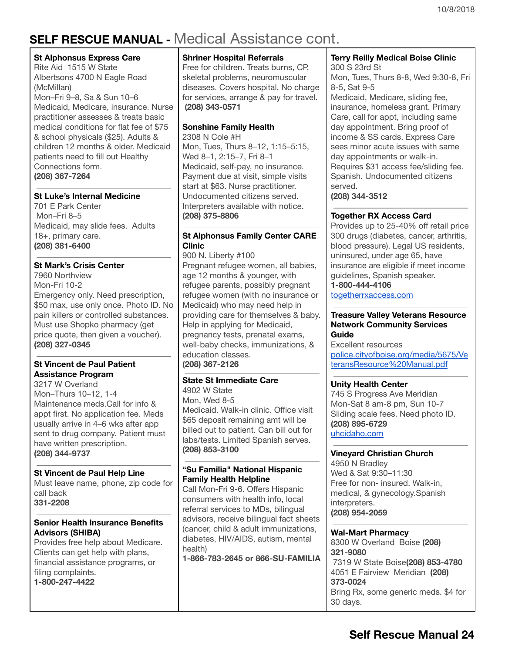# **SELF RESCUE MANUAL -** Medical Assistance cont.

#### **St Alphonsus Express Care**

Rite Aid 1515 W State Albertsons 4700 N Eagle Road (McMillan) Mon–Fri 9–8, Sa & Sun 10–6 Medicaid, Medicare, insurance. Nurse practitioner assesses & treats basic medical conditions for flat fee of \$75 & school physicals (\$25). Adults & children 12 months & older. Medicaid patients need to fill out Healthy Connections form. **(208) 367-7264**

### **St Luke's Internal Medicine**

701 E Park Center Mon–Fri 8–5 Medicaid, may slide fees. Adults 18+, primary care. **(208) 381-6400**

### **St Mark's Crisis Center**

7960 Northview Mon-Fri 10-2 Emergency only. Need prescription, \$50 max, use only once. Photo ID. No pain killers or controlled substances. Must use Shopko pharmacy (get price quote, then given a voucher). **(208) 327-0345**

### **St Vincent de Paul Patient Assistance Program**

3217 W Overland Mon–Thurs 10–12, 1-4 Maintenance meds.Call for info & appt first. No application fee. Meds usually arrive in 4–6 wks after app sent to drug company. Patient must have written prescription. **(208) 344-9737**

### **St Vincent de Paul Help Line**

Must leave name, phone, zip code for call back **331-2208**

### **Senior Health Insurance Benefits Advisors (SHIBA)**

Provides free help about Medicare. Clients can get help with plans, financial assistance programs, or filing complaints. **1-800-247-4422**

### **Shriner Hospital Referrals**

Free for children. Treats burns, CP, skeletal problems, neuromuscular diseases. Covers hospital. No charge for services, arrange & pay for travel. **(208) 343-0571**

### **Sonshine Family Health**

2308 N Cole #H Mon, Tues, Thurs 8–12, 1:15–5:15, Wed 8–1, 2:15–7, Fri 8–1 Medicaid, self-pay, no insurance. Payment due at visit, simple visits start at \$63. Nurse practitioner. Undocumented citizens served. Interpreters available with notice. **(208) 375-8806**

### **St Alphonsus Family Center CARE Clinic**

900 N. Liberty #100 Pregnant refugee women, all babies, age 12 months & younger, with refugee parents, possibly pregnant refugee women (with no insurance or Medicaid) who may need help in providing care for themselves & baby. Help in applying for Medicaid, pregnancy tests, prenatal exams, well-baby checks, immunizations, & education classes. **(208) 367-2126**

### **State St Immediate Care**

4902 W State Mon, Wed 8-5 Medicaid. Walk-in clinic. Office visit \$65 deposit remaining amt will be billed out to patient. Can bill out for labs/tests. Limited Spanish serves. **(208) 853-3100**

### **"Su Familia" National Hispanic Family Health Helpline**

Call Mon-Fri 9-6. Offers Hispanic consumers with health info, local referral services to MDs, bilingual advisors, receive bilingual fact sheets (cancer, child & adult immunizations, diabetes, HIV/AIDS, autism, mental health)

**1-866-783-2645 or 866-SU-FAMILIA**

### **Terry Reilly Medical Boise Clinic**

300 S 23rd St Mon, Tues, Thurs 8-8, Wed 9:30-8, Fri 8-5, Sat 9-5

Medicaid, Medicare, sliding fee, insurance, homeless grant. Primary Care, call for appt, including same day appointment. Bring proof of income & SS cards. Express Care sees minor acute issues with same day appointments or walk-in. Requires \$31 access fee/sliding fee. Spanish. Undocumented citizens served.

**(208) 344-3512**

### **Together RX Access Card**

Provides up to 25-40% off retail price 300 drugs (diabetes, cancer, arthritis, blood pressure). Legal US residents, uninsured, under age 65, have insurance are eligible if meet income guidelines, Spanish speaker. **1-800-444-4106**

[togetherrxaccess.com](http://www.togetherrxaccess.com/)

### **Treasure Valley Veterans Resource Network Community Services Guide**

Excellent resources [police.cityofboise.org/media/5675/Ve](http://police.cityofboise.org/media/5675/VeteransResource%20Manual.pdf) [teransResource%20Manual.pdf](http://police.cityofboise.org/media/5675/VeteransResource%20Manual.pdf)

### **Unity Health Center**

745 S Progress Ave Meridian Mon-Sat 8 am-8 pm, Sun 10-7 Sliding scale fees. Need photo ID. **(208) 895-6729** uhcidaho.com

### **Vineyard Christian Church**

4950 N Bradley Wed & Sat 9:30–11:30 Free for non- insured. Walk-in, medical, & gynecology.Spanish interpreters. **(208) 954-2059**

### **Wal-Mart Pharmacy**

8300 W Overland Boise **(208) 321-9080** 7319 W State Boise**(208) 853-4780** 4051 E Fairview Meridian **(208) 373-0024** Bring Rx, some generic meds. \$4 for 30 days.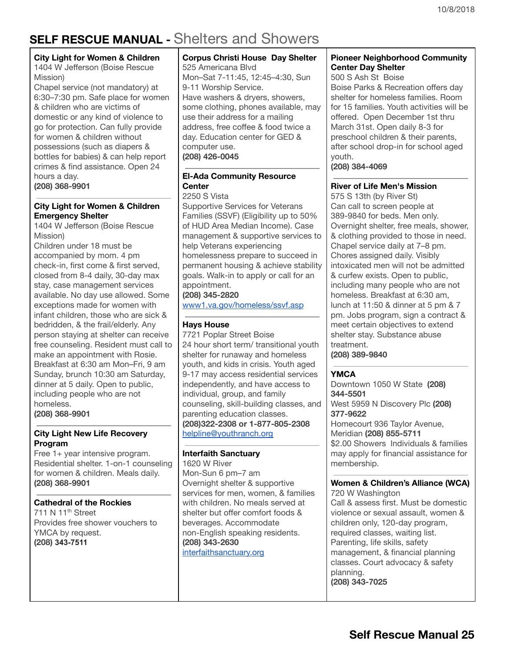# <span id="page-24-0"></span>**SELF RESCUE MANUAL -** Shelters and Showers

#### **City Light for Women & Children**

1404 W Jefferson (Boise Rescue Mission)

Chapel service (not mandatory) at 6:30–7:30 pm. Safe place for women & children who are victims of domestic or any kind of violence to go for protection. Can fully provide for women & children without possessions (such as diapers & bottles for babies) & can help report crimes & find assistance. Open 24 hours a day. **(208) 368-9901**

**City Light for Women & Children Emergency Shelter**

1404 W Jefferson (Boise Rescue Mission)

Children under 18 must be accompanied by mom. 4 pm check-in, first come & first served, closed from 8-4 daily, 30-day max stay, case management services available. No day use allowed. Some exceptions made for women with infant children, those who are sick & bedridden, & the frail/elderly. Any person staying at shelter can receive free counseling. Resident must call to make an appointment with Rosie. Breakfast at 6:30 am Mon–Fri, 9 am Sunday, brunch 10:30 am Saturday, dinner at 5 daily. Open to public, including people who are not homeless.

**(208) 368-9901**

### **City Light New Life Recovery Program**

Free 1+ year intensive program. Residential shelter. 1-on-1 counseling for women & children. Meals daily. **(208) 368-9901**

### **Cathedral of the Rockies**

711 N 11<sup>th</sup> Street Provides free shower vouchers to YMCA by request. **(208) 3437511**

**Corpus Christi House Day Shelter** 525 Americana Blvd Mon–Sat 7-11:45, 12:45–4:30, Sun 9-11 Worship Service. Have washers & dryers, showers, some clothing, phones available, may use their address for a mailing address, free coffee & food twice a day. Education center for GED & computer use. **(208) 426-0045**

### **El-Ada Community Resource Center**

2250 S Vista Supportive Services for Veterans Families (SSVF) (Eligibility up to 50%

of HUD Area Median Income). Case management & supportive services to help Veterans experiencing homelessness prepare to succeed in permanent housing & achieve stability goals. Walk-in to apply or call for an appointment.

### **(208) 345-2820**

[www1.va.gov/homeless/ssvf.asp](http://www1.va.gov/homeless/ssvf.asp)

### **Hays House**

7721 Poplar Street Boise 24 hour short term/ transitional youth shelter for runaway and homeless youth, and kids in crisis. Youth aged 9-17 may access residential services independently, and have access to individual, group, and family counseling, skill-building classes, and parenting education classes. **(208)322-2308 or 1-877-805-2308** helpline@youthranch.org

### **Interfaith Sanctuary**

1620 W River Mon-Sun 6 pm–7 am Overnight shelter & supportive services for men, women, & families with children. No meals served at shelter but offer comfort foods & beverages. Accommodate non-English speaking residents. **(208) 343-2630** [interfaithsanctuary.org](http://www.interfaithsanctuary.org/)

### **Pioneer Neighborhood Community Center Day Shelter**

500 S Ash St Boise Boise Parks & Recreation offers day shelter for homeless families. Room for 15 families. Youth activities will be offered. Open December 1st thru March 31st. Open daily 8-3 for preschool children & their parents, after school drop-in for school aged youth.

**(208) 384-4069**

### **River of Life Men's Mission**

575 S 13th (by River St) Can call to screen people at 389-9840 for beds. Men only. Overnight shelter, free meals, shower, & clothing provided to those in need. Chapel service daily at 7–8 pm. Chores assigned daily. Visibly intoxicated men will not be admitted & curfew exists. Open to public, including many people who are not homeless. Breakfast at 6:30 am, lunch at 11:50 & dinner at 5 pm & 7 pm. Jobs program, sign a contract & meet certain objectives to extend shelter stay. Substance abuse treatment.

**(208) 389-9840**

### **YMCA**

Downtown 1050 W State **(208) 344-5501** West 5959 N Discovery Plc **(208) 377-9622** Homecourt 936 Taylor Avenue, Meridian **(208) 855-5711** \$2.00 Showers Individuals & families may apply for financial assistance for membership.

### **Women & Children's Alliance (WCA)**

720 W Washington Call & assess first. Must be domestic violence or sexual assault, women & children only, 120-day program, required classes, waiting list. Parenting, life skills, safety management, & financial planning classes. Court advocacy & safety planning. **(208) 343-7025**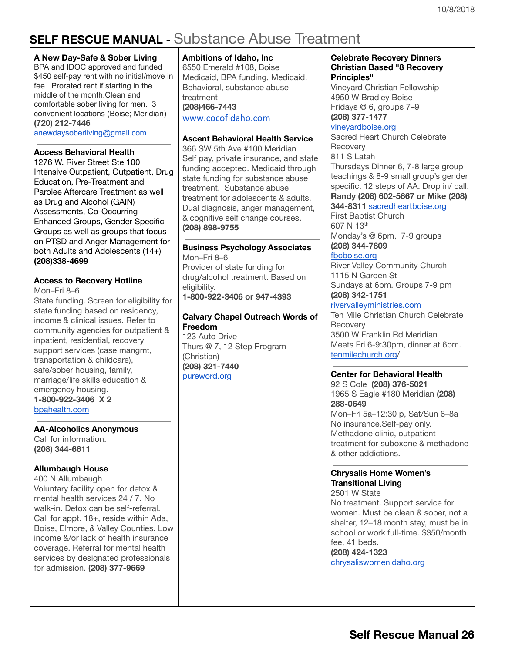# <span id="page-25-0"></span>**SELF RESCUE MANUAL -** Substance Abuse Treatment

### **A New Day-Safe & Sober Living**

BPA and IDOC approved and funded \$450 self-pay rent with no initial/move in fee. Prorated rent if starting in the middle of the month.Clean and comfortable sober living for men. 3 convenient locations (Boise; Meridian) **(720) 212-7446**

anewdaysoberliving@gmail.com

### **Access Behavioral Health**

1276 W. River [Street](https://maps.google.com/?q=1276+W.+River+Street+Ste+100;+Boise+ID+83702;+208&entry=gmail&source=g) Ste 100 Intensive Outpatient, Outpatient, Drug Education, Pre-Treatment and Parolee Aftercare Treatment as well as Drug and Alcohol (GAIN) Assessments, Co-Occurring Enhanced Groups, Gender Specific Groups as well as groups that focus on PTSD and Anger Management for both Adults and Adolescents (14+) **(208)338-4699**

### **Access to [Re](http://www.bpahealth.com/)covery Hotline**

Mon–Fri 8–6

State funding. Screen for eligibility for state funding based on residency, income & clinical issues. Refer to community agencies for outpatient & inpatient, residential, recovery support services (case mangmt, transportation & childcare), safe/sober housing, family, marriage/life skills education & emergency housing. **1-800-922-3406 X 2** [bpahealth.com](http://www.bpahealth.com/)

**AA-Alcoholics Anonymous**

Call for information. **(208) 344-6611**

### **Allumbaugh House**

400 N Allumbaugh Voluntary facility open for detox & mental health services 24 / 7. No walk-in. Detox can be self-referral. Call for appt. 18+, reside within Ada, Boise, Elmore, & Valley Counties. Low income &/or lack of health insurance coverage. Referral for mental health services by designated professionals for admission. **(208) 377-9669**

**Ambitions of Idaho, Inc** 6550 Emerald #108, Boise

Medicaid, BPA funding, Medicaid. Behavioral, substance abuse treatment **(208)466-7443** [www.cocofidaho.com](http://www.cocofidaho.com/)

### **Ascent Behavioral Health Service**

366 SW 5th Ave #100 Meridian Self pay, private insurance, and state funding accepted. Medicaid through state funding for substance abuse treatment. Substance abuse treatment for adolescents & adults. Dual diagnosis, anger management, & cognitive self change courses. **(208) 898-9755**

### **Business Psychology Associates**

Mon–Fri 8–6 Provider of state funding for drug/alcohol treatment. Based on eligibility. **1-800-922-3406 or 947-4393**

### **Calvary Chapel Outreach Words of Freedom**

123 Auto Drive Thurs @ 7, 12 Step Program (Christian) **(208) 321-7440** [pureword.org](http://www.pureword.org/)

### **Celebrate Recovery Dinners Christian Based "8 Recovery Principles"**

Vineyard Christian Fellowship 4950 W Bradley Boise Fridays @ 6, groups 7–9 **(208) 377-1477**

### [vineyardboise.org](http://vineyardboise.org/)

Sacred Heart Church Celebrate **Recovery** 811 S Latah

Thursdays Dinner 6, 7-8 large group teachings & 8-9 small group's gender specific. 12 steps of AA. Drop in/ call. **Randy (208) 602-5667 or Mike (208)**

### **344-8311** [sacredheartboise.org](http://www.sacredheartboise.org/) First Baptist Church 607 N 13<sup>th</sup>

Monday's @ 6pm, 7-9 groups **(208) 344-7809**

### [fbcboise.org](http://fbcboise.org/)

River Valley Community Church 1115 N Garden St Sundays at 6pm. Groups 7-9 pm **(208) 342-1751**

### [rivervalleyministries.com](http://rivervalleyministries.com/)

Ten Mile Christian Church Celebrate **Recovery** 3500 W Franklin Rd Meridian Meets Fri 6-9:30pm, dinner at 6pm. [tenmilechurch.org/](https://www.tenmilechurch.org/)

### **Center for Behavioral Health**

92 S Cole **(208) 376-5021** 1965 S Eagle #180 Meridian **(208) 288-0649** Mon–Fri 5a–12:30 p, Sat/Sun 6–8a No insurance.Self-pay only. Methadone clinic, outpatient treatment for suboxone & methadone & other addictions.

### **Chrysalis Home Women's Transitional Living**

2501 W State No treatment. Support service for women. Must be clean & sober, not a shelter, 12–18 month stay, must be in school or work full-time. \$350/month fee, 41 beds. **(208) 424-1323**

[chrysaliswomenidaho.org](http://www.chrysaliswomenidaho.org/)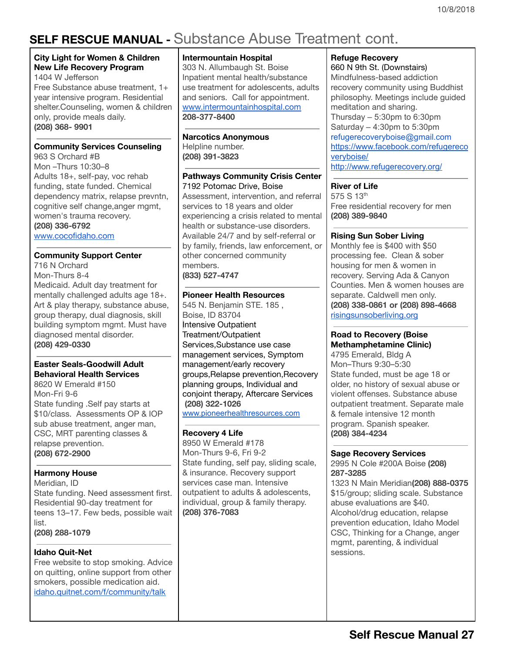# **SELF RESCUE MANUAL -** Substance Abuse Treatment cont.

### **City Light for Women & Children New Life Recovery Program**

1404 W Jefferson Free Substance abuse treatment, 1+ year intensive program. Residential shelter.Counseling, women & children only, provide meals daily. **(208) 368- 9901**

### **Community Services Counseling**

963 S Orchard #B Mon –Thurs 10:30–8 Adults 18+, self-pay, voc rehab funding, state funded. Chemical dependency matrix, relapse prevntn, cognitive self change,anger mgmt, women's trauma recovery. **(208) 336-6792**

[www.cocofidaho.com](http://www.cocofidaho.com/)

### **Community Support Center**

716 N Orchard Mon-Thurs 8-4 Medicaid. Adult day treatment for mentally challenged adults age 18+. Art & play therapy, substance abuse, group therapy, dual diagnosis, skill building symptom mgmt. Must have diagnosed mental disorder. **(208) 429-0330**

### **Easter Seals-Goodwill Adult Behavioral Health Services**

8620 W Emerald #150 Mon-Fri 9-6 State funding .Self pay starts at \$10/class. Assessments OP & IOP sub abuse treatment, anger man, CSC, MRT parenting classes & relapse prevention. **(208) 672-2900**

### **Harmony House**

Meridian, ID State funding. Need assessment first. Residential 90-day treatment for teens 13–17. Few beds, possible wait list. **(208) 288-1079**

#### **Idaho Quit-Net**

Free website to stop smoking. Advice on quitting, online support from other smokers, possible medication aid. [idaho.quitnet.com/f/community/talk](http://idaho.quitnet.com/f/community/talk)

### **Intermountain Hospital**

303 N. Allumbaugh St. Boise Inpatient mental health/substance use treatment for adolescents, adults and seniors. Call for appointment. [www.intermountainhospital.com](http://www.intermountainhospital.com/) **208-377-8400**

### **Narcotics Anonymous**

Helpline number. **(208) 391-3823**

### **Pathways Community Crisis Center**

7192 [Potomac](https://maps.google.com/?q=7192+Potomac+Drive,+Boise&entry=gmail&source=g) Drive, Boise Assessment, intervention, and referral services to 18 years and older experiencing a crisis related to mental health or substance-use disorders. Available 24/7 and by self-referral or by family, friends, law enforcement, or other concerned community members. **(833) 527-4747**

### **Pioneer Health Resources**

545 N. Benjamin STE. 185 , Boise, ID 83704 Intensive Outpatient Treatment/Outpatient Services,Substance use case management services, Symptom management/early recovery groups,Relapse prevention,Recovery planning groups, Individual and conjoint therapy, Aftercare Services **(208) 322-1026** [www.pioneerhealthresources.com](http://www.pioneerhealthresources.com/)

### **Recovery 4 Life**

8950 W Emerald #178 Mon-Thurs 9-6, Fri 9-2 State funding, self pay, sliding scale, & insurance. Recovery support services case man. Intensive outpatient to adults & adolescents, individual, group & family therapy. **(208) 376-7083**

### **Refuge Recovery**

[660](https://maps.google.com/?q=660+N+9th+St&entry=gmail&source=g) N 9th St. (Downstairs) Mindfulness-based addiction recovery community using Buddhist philosophy. Meetings include guided meditation and sharing. Thursday – 5:30pm to 6:30pm Saturday – 4:30pm to 5:30pm refugerecoveryboise@gmail.com [https://www.facebook.com/refugereco](https://www.facebook.com/refugerecoveryboise/) [veryboise/](https://www.facebook.com/refugerecoveryboise/) <http://www.refugerecovery.org/>

### **River of Life**

575 S 13th Free residential recovery for men **(208) 389-9840**

### **Rising Sun Sober Living**

Monthly fee is \$400 with \$50 processing fee. Clean & sober housing for men & women in recovery. Serving Ada & Canyon Counties. Men & women houses are separate. Caldwell men only. **(208) 338-0861 or (208) 898-4668** [risingsunsoberliving.org](http://www.risingsunsoberliving.org/)

### **Road to Recovery (Boise Methamphetamine Clinic)**

4795 Emerald, Bldg A Mon–Thurs 9:30–5:30 State funded, must be age 18 or older, no history of sexual abuse or violent offenses. Substance abuse outpatient treatment. Separate male & female intensive 12 month program. Spanish speaker. **(208) 384-4234**

### **Sage Recovery Services**

2995 N Cole #200A Boise **(208) 287-3285**

1323 N Main Meridian**(208) 888-0375** \$15/group; sliding scale. Substance abuse evaluations are \$40. Alcohol/drug education, relapse prevention education, Idaho Model CSC, Thinking for a Change, anger mgmt, parenting, & individual sessions.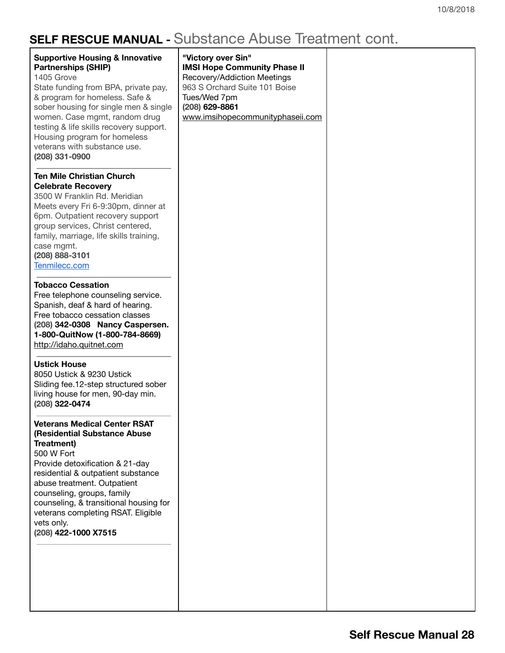# **SELF RESCUE MANUAL -** Substance Abuse Treatment cont.

| <b>SELF NESUUE MANUAL -</b> UUDSIAHU <del>U</del> ADUSU HUAHHUHI UUHI.                                                                                                                                                                                                                                                                                                  |                                                                                                                                                                                                 |  |
|-------------------------------------------------------------------------------------------------------------------------------------------------------------------------------------------------------------------------------------------------------------------------------------------------------------------------------------------------------------------------|-------------------------------------------------------------------------------------------------------------------------------------------------------------------------------------------------|--|
| <b>Supportive Housing &amp; Innovative</b><br><b>Partnerships (SHIP)</b><br>1405 Grove<br>State funding from BPA, private pay,<br>& program for homeless. Safe &<br>sober housing for single men & single<br>women. Case mgmt, random drug<br>testing & life skills recovery support.<br>Housing program for homeless<br>veterans with substance use.<br>(208) 331-0900 | "Victory over Sin"<br><b>IMSI Hope Community Phase II</b><br>Recovery/Addiction Meetings<br>963 S Orchard Suite 101 Boise<br>Tues/Wed 7pm<br>(208) 629-8861<br>www.imsihopecommunityphaseii.com |  |
| <b>Ten Mile Christian Church</b><br><b>Celebrate Recovery</b><br>3500 W Franklin Rd. Meridian<br>Meets every Fri 6-9:30pm, dinner at<br>6pm. Outpatient recovery support<br>group services, Christ centered,<br>family, marriage, life skills training,<br>case mgmt.<br>(208) 888-3101<br>Tenmilecc.com                                                                |                                                                                                                                                                                                 |  |
| <b>Tobacco Cessation</b><br>Free telephone counseling service.<br>Spanish, deaf & hard of hearing.<br>Free tobacco cessation classes<br>(208) 342-0308 Nancy Caspersen.<br>1-800-QuitNow (1-800-784-8669)<br>http://idaho.quitnet.com                                                                                                                                   |                                                                                                                                                                                                 |  |
| <b>Ustick House</b><br>8050 Ustick & 9230 Ustick<br>Sliding fee.12-step structured sober<br>living house for men, 90-day min.<br>(208) 322-0474                                                                                                                                                                                                                         |                                                                                                                                                                                                 |  |
| <b>Veterans Medical Center RSAT</b><br>(Residential Substance Abuse<br>Treatment)<br>500 W Fort<br>Provide detoxification & 21-day<br>residential & outpatient substance<br>abuse treatment. Outpatient<br>counseling, groups, family<br>counseling, & transitional housing for<br>veterans completing RSAT. Eligible<br>vets only.<br>(208) 422-1000 X7515             |                                                                                                                                                                                                 |  |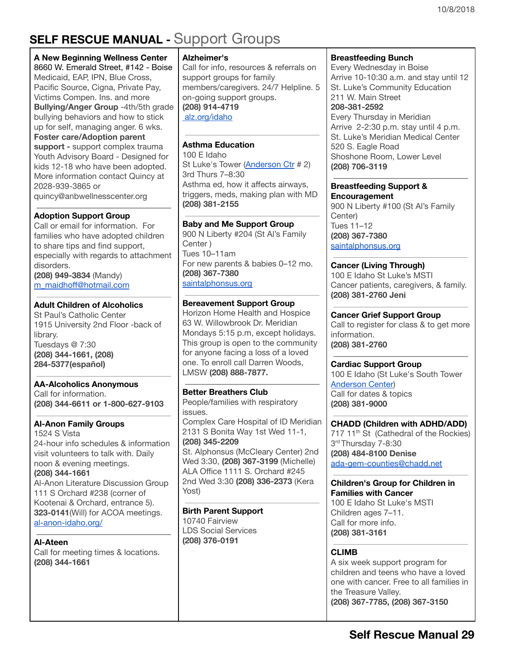# <span id="page-28-0"></span>**SELF RESCUE MANUAL -** Support Groups

### **A New Beginning Wellness Center**

8660 W. [Emerald](https://maps.google.com/?q=8660+W.+Emerald+Street,+%23142+-+Boise&entry=gmail&source=g) Street, #142 - Boise Medicaid, EAP, IPN, Blue Cross, Pacific Source, Cigna, Private Pay, Victims Compen. Ins. and more **Bullying/Anger Group** -4th/5th grade bullying behaviors and how to stick up for self, managing anger. 6 wks. **Foster care/Adoption parent support -** support complex trauma Youth Advisory Board - Designed for kids 12-18 who have been adopted. More information contact Quincy at 2028-939-3865 or quincy@anbwellnesscenter.org

### **Adoption Support Group**

Call or email for information. For families who have adopted children to share tips and find support, especially with regards to attachment disorders.

**(208) 949-3834** (Mandy) [m\\_maidhoff@hotmail.com](mailto:m_maidhoff@hotmail.com)

### **Adult Children of Alcoholics**

St Paul's Catholic Center 1915 University 2nd Floor -back of library. Tuesdays @ 7:30 **(208) 344-1661, (208) 284-5377(español)**

### **AA-Alcoholics Anonymous**

Call for information. **(208) 344-6611 or 1-800-627-9103**

### **Al-Anon Family Groups**

1524 S Vista 24-hour info schedules & information visit volunteers to talk with. Daily noon & evening meetings. **(208) 344-1661** Al-Anon Literature Discussion Group 111 S Orchard #238 (corner of

Kootenai & Orchard, entrance 5). **323-0141**(Will) for ACOA meetings. [al-anon-idaho.org/](http://al-anon-idaho.org/)

**Al-Ateen** Call for meeting times & locations. **(208) 344-1661**

### **Alzheimer's**

Call for info, resources & referrals on support groups for family members/caregivers. 24/7 Helpline. 5 on-going support groups. **(208) 914-4719** [alz.org/idaho](http://www.alz.org/idaho/)

### **Asthma Education**

100 E Idaho St Luke's Tower ([Anderson](http://www.stlukesonline.org/SLRMC/visitors/anderson.html) Ctr # 2) 3rd Thurs 7–8:30 Asthma ed, how it affects airways, triggers, meds, making plan with MD **(208) 381-2155**

### **Baby and Me Support Group**

900 N Liberty #204 (St Al's Family Center ) Tues 10–11am For new parents & babies 0–12 mo. **(208) 367-7380** [saintalphonsus.org](http://www.saintalphonsus.org/)

### **Bereavement Support Group**

Horizon Home Health and Hospice 63 W. Willowbrook Dr. Meridian Mondays 5:15 p.m, except holidays. This group is open to the community for anyone facing a loss of a loved one. To enroll call Darren Woods, LMSW **(208) 888-7877.**

### **Better Breathers Club**

People/families with respiratory issues.

Complex Care Hospital of ID Meridian 2131 S Bonita Way 1st Wed 11-1, **(208) 345-2209**

St. Alphonsus (McCleary Center) 2nd Wed 3:30, **(208) 367-3199** (Michelle) ALA Office 1111 S. Orchard #245 2nd Wed 3:30 **(208) 336-2373** (Kera Yost)

### **Birth Parent Support**

10740 Fairview LDS Social Services **(208) 376-0191**

### **Breastfeeding Bunch**

Every Wednesday in Boise Arrive 10-10:30 a.m. and stay until 12 St. Luke's Community Education 211 W. Main Street **208-381-2592** Every Thursday in Meridian Arrive 2-2:30 p.m. stay until 4 p.m. St. Luke's Meridian Medical Center 520 S. Eagle Road Shoshone Room, Lower Level **(208) 706-3119**

#### **Breastfeeding Support & Encouragement**

900 N Liberty #100 (St Al's Family Center) Tues 11–12 **(208) 367-7380** [saintalphonsus.org](http://www.saintalphonsus.org/)

### **Cancer (Living Through)**

100 E Idaho St Luke's MSTI Cancer patients, caregivers, & family. **(208) 381-2760 Jeni**

### **Cancer Grief Support Group**

Call to register for class & to get more information. **(208) 381-2760**

### **Cardiac Support Group**

100 E Idaho (St Luke's South Tower [Anderson](http://www.stlukesonline.org/SLRMC/visitors/anderson.html) Center) Call for dates & topics **(208) 381-9000**

**CHADD (Children with ADHD/ADD)** 717 11<sup>th</sup> St (Cathedral of the Rockies) 3<sup>rd</sup> Thursday 7-8:30 **(208) 484-8100 Denise**

[ada-gem-counties@chadd.net](mailto:ada-gem-counties@chadd.net)

### **Children's Group for Children in Families with Cancer**

100 E Idaho St Luke's MSTI Children ages 7–11. Call for more info. **(208) 381-3161**

### **CLIMB**

A six week support program for children and teens who have a loved one with cancer. Free to all families in the Treasure Valley. **(208) 367-7785, (208) 367-3150**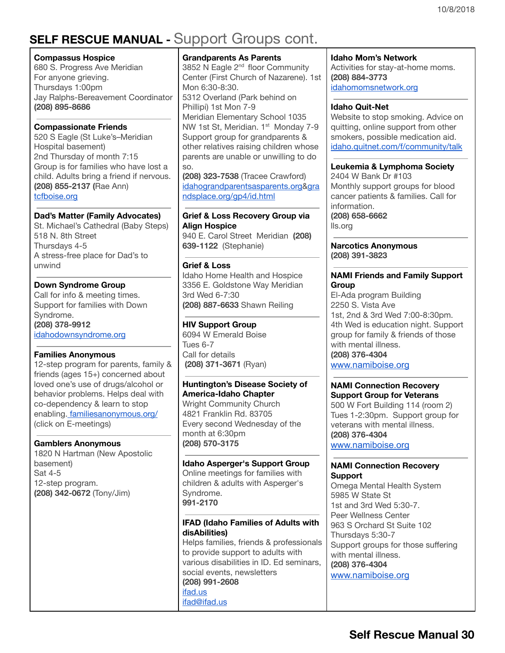# **SELF RESCUE MANUAL -** Support Groups cont.

### **Compassus Hospice**

680 S. Progress Ave Meridian For anyone grieving. Thursdays 1:00pm Jay Ralphs-Bereavement Coordinator **(208) 895-8686**

### **Compassionate Friends**

520 S Eagle (St Luke's–Meridian Hospital basement) 2nd Thursday of month 7:15 Group is for families who have lost a child. Adults bring a friend if nervous. **(208) 855-2137 (**Rae Ann) [tcfboise.org](http://www.tcfboise.org/)

### **Dad's Matter (Family Advocates)**

St. Michael's Cathedral (Baby Steps) 518 N. 8th Street Thursdays 4-5 A stress-free place for Dad's to unwind

### **Down Syndrome Group**

Call for info & meeting times. Support for families with Down Syndrome. **(208) 378-9912** [idahodownsyndrome.org](http://www.idahodownsyndrome.org/)

### **Families Anonymous**

12-step program for parents, family & friends (ages 15+) concerned about loved one's use of drugs/alcohol or behavior problems. Helps deal with co-dependency & learn to stop enabling. [familiesanonymous.org/](http://www.familiesanonymous.org/) (click on E-meetings)

### **Gamblers Anonymous**

1820 N Hartman (New Apostolic basement) Sat 4-5 12-step program. **(208) 342-0672** (Tony/Jim)

### **Grandparents As Parents**

3852 N Eagle 2<sup>nd</sup> floor Community Center (First Church of Nazarene). 1st Mon 6:30-8:30. 5312 Overland (Park behind on Phillipi) 1st Mon 7-9 Meridian Elementary School 1035 NW 1st St, Meridian. 1<sup>st</sup> Monday 7-9 Support group for grandparents & other relatives raising children whose parents are unable or unwilling to do so.

**(208) 323-7538** (Tracee Crawford) [idahograndparentsasparents.org&](http://www.idahograndparentsasparents.org/)[gra](http://www.grandsplace.org/gp4/id.html) [ndsplace.org/gp4/id.html](http://www.grandsplace.org/gp4/id.html)

#### **Grief & Loss Recovery Group via Align Hospice**

940 E. Carol Street Meridian **(208) 639-1122** (Stephanie)

### **Grief & Loss**

Idaho Home Health and Hospice 3356 E. Goldstone Way Meridian 3rd Wed 6-7:30 **(208) 887-6633** Shawn Reiling

### **HIV Support Group**

6094 W Emerald Boise Tues 6-7 Call for details **(208) 371-3671** (Rya[n\)](http://www.alhphaidaho.org/)

### **Huntington's Disease Society of America-Idaho Chapter**

Wright Community Church 4821 Franklin Rd. 83705 Every second Wednesday of the month at 6:30pm **(208) 570-3175**

### **Idaho Asperger's Support Group**

Online meetings for families with children & adults with Asperger's Syndrome. **991-2170**

### **IFAD (Idaho Families of Adults with disAbilities)**

Helps families, friends & professionals to provide support to adults with various disabilities in ID. Ed seminars, social events, newsletters **(208) 991-2608** [ifad.us](http://www.ifad.us/) ifad@ifad.us

#### **Idaho Mom's Network**

Activities for stay-at-home moms. **(208) 884-3773** [idahomomsnetwork.org](http://www.idahomomsnetwork.org/)

### **Idaho Quit-Net**

Website to stop smoking. Advice on quitting, online support from other smokers, possible medication aid. [idaho.quitnet.com/f/community/talk](http://idaho.quitnet.com/f/community/talk)

### **Leukemia & Lymphoma Society**

2404 W Bank Dr #103 Monthly support groups for blood cancer patients & families. Call for information. **(208) 658-6662**

lls.org

**Narcotics Anonymous (208) 391-3823**

### **NAMI Friends and Family Support Group**

El-Ada program Building 2250 S. Vista Ave 1st, 2nd & 3rd Wed 7:00-8:30pm. 4th Wed is education night. Support group for family & friends of those with mental illness. **(208) 376-4304**

[www.namiboise.org](http://www.namiboise.org/)

#### **NAMI Connection Recovery Support Group for Veterans**

500 W Fort Building 114 (room 2) Tues 1-2:30pm. Support group for veterans with mental illness. **(208) 376-4304** [www.namiboise.org](http://www.namiboise.org/)

#### **NAMI Connection Recovery Support**

Omega Mental Health System 5985 W State St 1st and 3rd Wed 5:30-7. Peer Wellness Center 963 S Orchard St Suite 102 Thursdays 5:30-7 Support groups for those suffering with mental illness. **(208) 376-4304** [www.namiboise.org](http://www.namiboise.org/)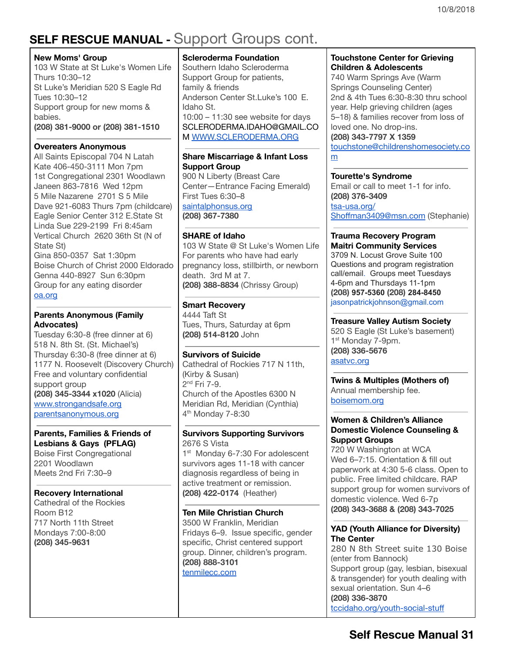# **SELF RESCUE MANUAL -** Support Groups cont.

### **New Moms' Group**

103 W State at St Luke's Women Life Thurs 10:30–12 St Luke's Meridian 520 S Eagle Rd Tues 10:30–12 Support group for new moms & babies.

**(208) 381-9000 or (208) 381-1510**

### **Overeaters Anonymous**

All Saints Episcopal 704 N Latah Kate 406-450-3111 Mon 7pm 1st Congregational 2301 Woodlawn Janeen 863-7816 Wed 12pm 5 Mile Nazarene 2701 S 5 Mile Dave 921-6083 Thurs 7pm (childcare) Eagle Senior Center 312 E.State St Linda Sue 229-2199 Fri 8:45am Vertical Church 2620 36th St (N of State St)

Gina 850-0357 Sat 1:30pm Boise Church of Christ 2000 Eldorado Genna 440-8927 Sun 6:30pm Group for any eating disorder [oa.org](http://www.oa.org/)

### **Parents Anonymous (Family Advocates)**

Tuesday 6:30-8 (free dinner at 6) 518 N. 8th St. (St. Michael's) Thursday 6:30-8 (free dinner at 6) 1177 N. Roosevelt (Discovery Church) Free and voluntary confidential support group **(208) 345-3344 x1020** (Alicia) [www.strongandsafe.org](http://www.strongandsafe.org/) parentsanonymous.org

#### **Parents, Families & Friends of Lesbians & Gays (PFLAG)**

Boise First Congregational 2201 Woodlawn Meets 2nd Fri 7:30–9

### **Recovery International**

Cathedral of the Rockies Room B12 717 North 11th Street Mondays 7:00-8:00 **(208) 345-9631**

### **Scleroderma Foundation**

Southern Idaho Scleroderma Support Group for patients, family & friends Anderson Center St.Luke's 100 E. Idaho St. 10:00 – 11:30 see website for days [SCLERODERMA.IDAHO@GMAIL.CO](mailto:SCLERODERMA.IDAHO@GMAIL.COm) M [WWW.SCLERODERMA.ORG](http://www.scleroderma.org/)

### **Share Miscarriage & Infant Loss Support Group**

900 N Liberty (Breast Care Center—Entrance Facing Emerald) First Tues 6:30–8 [saintalphonsus.org](http://www.saintalphonsus.org/) **(208) 367-7380**

### **SHARE of Idaho**

103 W State @ St Luke's Women Life For parents who have had early pregnancy loss, stillbirth, or newborn death. 3rd M at 7. **(208) 388-8834** (Chrissy Group)

### **Smart Recovery**

4444 Taft St Tues, Thurs, Saturday at 6pm **(208) 514-8120** John

### **Survivors of Suicide**

Cathedral of Rockies 717 N 11th, (Kirby & Susan) 2<sup>nd</sup> Fri 7-9. Church of the Apostles 6300 N Meridian Rd, Meridian (Cynthia) 4 th Monday 7-8:30

#### **Survivors Supporting Survivors** 2676 S Vista

1<sup>st</sup> Monday 6-7:30 For adolescent survivors ages 11-18 with cancer diagnosis regardless of being in active treatment or remission. **(208) 422-0174** (Heather)

### **Ten Mile Christian Church**

3500 W Franklin, Meridian Fridays 6–9. Issue specific, gender specific, Christ centered support group. Dinner, children's program. **(208) 888-3101** [tenmilecc.com](http://www.tenmilecc.com/)

### **Touchstone Center for Grieving Children & Adolescents**

740 Warm Springs Ave (Warm Springs Counseling Center) 2nd & 4th Tues 6:30-8:30 thru school year. Help grieving children (ages 5–18) & families recover from loss of loved one. No drop-ins. **(208) 343-7797 X 1359** [touchstone@childrenshomesociety.co](mailto:touchstone@childrenshomesociety.com)

[m](mailto:touchstone@childrenshomesociety.com)

### **Tourette's Syndrome**

Email or call to meet 1-1 for info. **(208) 376-3409**

[tsa-usa.org/](http://tsa-usa.org/) [Shoffman3409@msn.com](mailto:Shoffman3409@msn.com) (Stephanie)

#### **Trauma Recovery Program Maitri Community Services**

3709 N. Locust Grove Suite 100 Questions and program registration call/email. Groups meet Tuesdays 4-6pm and Thursdays 11-1pm **(208)** 957-5360 (208) 284-8450 jasonpatrickjohnson@gmail.com

### **Treasure Valley Autism Society**

520 S Eagle (St Luke's basement) 1<sup>st</sup> Monday 7-9pm. **(208) 336-5676** asatvc.org

**Twins & Multiples (Mothers of)** Annual membership fee. [boisemom.org](http://www.boisemom.org/)

### **Women & Children's Alliance Domestic Violence Counseling & Support Groups**

720 W Washington at WCA Wed 6–7:15. Orientation & fill out paperwork at 4:30 5-6 class. Open to public. Free limited childcare. RAP support group for women survivors of domestic violence. Wed 6-7p **(208) 343-3688 & (208) 343-7025**

### **YAD (Youth Alliance for Diversity) The Center**

280 N 8th Street suite 130 Boise (enter from Bannock) Support group (gay, lesbian, bisexual & transgender) for youth dealing with sexual orientation. Sun 4–6 **(208) 336-3870** [tccidaho.org/youth-social-stuff](http://www.tccidaho.org/youth-social-stuff)

### **Self Rescue Manual 31**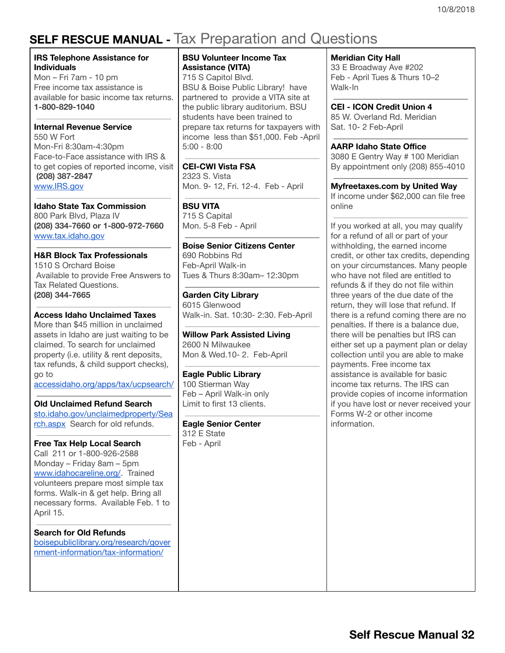# <span id="page-31-0"></span>**SELF RESCUE MANUAL -** Tax Preparation and Questions

### **IRS Telephone Assistance for Individuals**

Mon – Fri 7am - 10 pm Free income tax assistance is available for basic income tax returns. **1-800-829-1040**

### **Internal Revenue Service**

550 W Fort Mon-Fri 8:30am-4:30pm Face-to-Face assistance with IRS & to get copies of reported income, visit **(208) 387-2847** [www.IRS.gov](http://www.irs.gov/)

**Idaho State Tax Commission** 800 Park Blvd, Plaza IV **(208) 334-7660 or 1-800-972-7660** [www.tax.idaho.gov](http://www.tax.idaho.gov/)

**H&R Block Tax Professionals** 1510 S Orchard Boise Available to provide Free Answers to Tax Related Questions. **(208) 344-7665**

### **Access Idaho Unclaimed Taxes**

More than \$45 million in unclaimed assets in Idaho are just waiting to be claimed. To search for unclaimed property (i.e. utility & rent deposits, tax refunds, & child support checks), go to [accessidaho.org/apps/tax/ucpsearch/](https://www.accessidaho.org/apps/tax/ucpsearch/)

**Old Unclaimed Refund Search**

[sto.idaho.gov/unclaimedproperty/Sea](https://www.sto.idaho.gov/unclaimedproperty/Search.aspx) [rch.aspx](https://www.sto.idaho.gov/unclaimedproperty/Search.aspx) Search for old refunds.

#### **Free Tax Help Local Search**

Call 211 or 1-800-926-2588 Monday – Friday 8am – 5pm [www.idahocareline.org/](http://www.idahocareline.org/). Trained volunteers prepare most simple tax forms. Walk-in & get help. Bring all necessary forms. Available Feb. 1 to April 15.

**Search for Old Refunds**

[boisepubliclibrary.org/research/gover](http://www.boisepubliclibrary.org/research/government-information/tax-information/) [nment-information/tax-information/](http://www.boisepubliclibrary.org/research/government-information/tax-information/)

**BSU Volunteer Income Tax Assistance (VITA)**

715 S Capitol Blvd. BSU & Boise Public Library! have partnered to provide a VITA site at the public library auditorium. BSU students have been trained to prepare tax returns for taxpayers with income less than \$51,000. Feb -April 5:00 - 8:00

**CEI-CWI Vista FSA**

2323 S. Vista Mon. 9- 12, Fri. 12-4. Feb - April

**BSU VITA**

715 S Capital Mon. 5-8 Feb - April

**Boise Senior Citizens Center** 690 Robbins Rd Feb-April Walk-in Tues & Thurs 8:30am– 12:30pm

**Garden City Library** 6015 Glenwood Walk-in. Sat. 10:30- 2:30. Feb-April

**Willow Park Assisted Living** 2600 N Milwaukee Mon & Wed.10- 2. Feb-April

**Eagle Public Library** 100 Stierman Way Feb – April Walk-in only Limit to first 13 clients.

**Eagle Senior Center** 312 E State Feb - April

**Meridian City Hall**

33 E Broadway Ave #202 Feb - April Tues & Thurs 10–2 Walk-In

**CEI - ICON Credit Union 4** 85 W. Overland Rd. Meridian Sat. 10- 2 Feb-April

**AARP Idaho State Office** 3080 E Gentry Way # 100 Meridian By appointment only (208) 855-4010

**Myfreetaxes.com by United Way** If income under \$62,000 can file free online

If you worked at all, you may qualify for a refund of all or part of your withholding, the earned income credit, or other tax credits, depending on your circumstances. Many people who have not filed are entitled to refunds & if they do not file within three years of the due date of the return, they will lose that refund. If there is a refund coming there are no penalties. If there is a balance due, there will be penalties but IRS can either set up a payment plan or delay collection until you are able to make payments. Free income tax assistance is available for basic income tax returns. The IRS can provide copies of income information if you have lost or never received your Forms W-2 or other income information.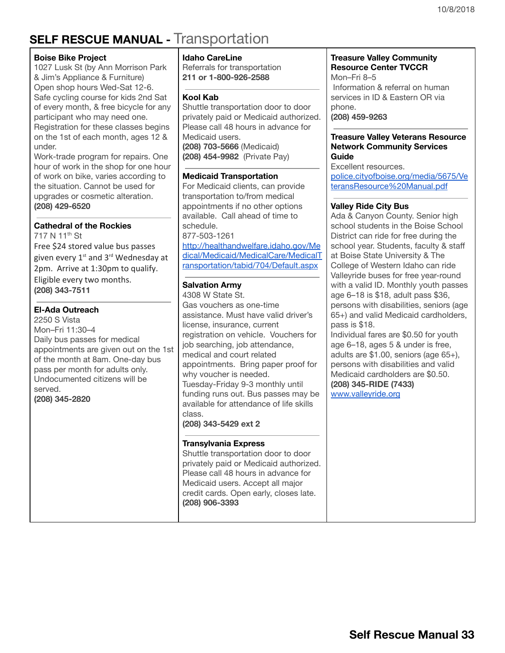# <span id="page-32-0"></span>**SELF RESCUE MANUAL -** Transportation

### **Boise Bike Project**

1027 Lusk St (by Ann Morrison Park & Jim's Appliance & Furniture) Open shop hours Wed-Sat 12-6. Safe cycling course for kids 2nd Sat of every month, & free bicycle for any participant who may need one. Registration for these classes begins on the 1st of each month, ages 12 & under.

Work-trade program for repairs. One hour of work in the shop for one hour of work on bike, varies according to the situation. Cannot be used for upgrades or cosmetic alteration. **(208) 429-6520**

### **Cathedral of the Rockies**

717 N 11<sup>th</sup> St Free \$24 stored value bus passes given every  $1^{\rm st}$  and  $3^{\rm rd}$  Wednesday at 2pm. Arrive at 1:30pm to qualify. Eligible every two months. **(208) 343-7511**

### **El-Ada Outreach**

2250 S Vista Mon–Fri 11:30–4 Daily bus passes for medical appointments are given out on the 1st of the month at 8am. One-day bus pass per month for adults only. Undocumented citizens will be served. **(208) 345-2820**

#### **Idaho CareLine**

Referrals for transportation **211 or 1-800-926-2588**

### **Kool Kab**

Shuttle transportation door to door privately paid or Medicaid authorized. Please call 48 hours in advance for Medicaid users. **(208) 703-5666** (Medicaid) **(208) 454-9982** (Private Pay)

### **Medicaid Transportation**

For Medicaid clients, can provide transportation to/from medical appointments if no other options available. Call ahead of time to schedule. 877-503-1261 [http://healthandwelfare.idaho.gov/Me](http://healthandwelfare.idaho.gov/Medical/Medicaid/MedicalCare/MedicalTransportation/tabid/704/Default.aspx) [dical/Medicaid/MedicalCare/MedicalT](http://healthandwelfare.idaho.gov/Medical/Medicaid/MedicalCare/MedicalTransportation/tabid/704/Default.aspx) [ransportation/tabid/704/Default.aspx](http://healthandwelfare.idaho.gov/Medical/Medicaid/MedicalCare/MedicalTransportation/tabid/704/Default.aspx)

### **Salvation Army**

4308 W State St. Gas vouchers as one-time assistance. Must have valid driver's license, insurance, current registration on vehicle. Vouchers for job searching, job attendance, medical and court related appointments. Bring paper proof for why voucher is needed. Tuesday-Friday 9-3 monthly until funding runs out. Bus passes may be available for attendance of life skills class.

**(208) 343-5429 ext 2**

### **Transylvania Express**

Shuttle transportation door to door privately paid or Medicaid authorized. Please call 48 hours in advance for Medicaid users. Accept all major credit cards. Open early, closes late. **(208) 906-3393**

### **Treasure Valley Community Resource Center TVCCR** Mon–Fri 8–5

Information & referral on human services in ID & Eastern OR via phone. **(208) 459-9263**

#### **Treasure Valley Veterans Resource Network Community Services Guide**

Excellent resources. [police.cityofboise.org/media/5675/Ve](http://police.cityofboise.org/media/5675/VeteransResource%20Manual.pdf) [teransResource%20Manual.pdf](http://police.cityofboise.org/media/5675/VeteransResource%20Manual.pdf)

### **Valley Ride City Bus**

Ada & Canyon County. Senior high school students in the Boise School District can ride for free during the school year. Students, faculty & staff at Boise State University & The College of Western Idaho can ride Valleyride buses for free year-round with a valid ID. Monthly youth passes age 6–18 is \$18, adult pass \$36, persons with disabilities, seniors (age 65+) and valid Medicaid cardholders, pass is \$18.

Individual fares are \$0.50 for youth age 6–18, ages 5 & under is free, adults are \$1.00, seniors (age 65+), persons with disabilities and valid Medicaid cardholders are \$0.50[.](http://www.valleyride.org/) **(208) 345-RIDE (7433)** [www.valleyride.org](http://www.valleyride.org/)